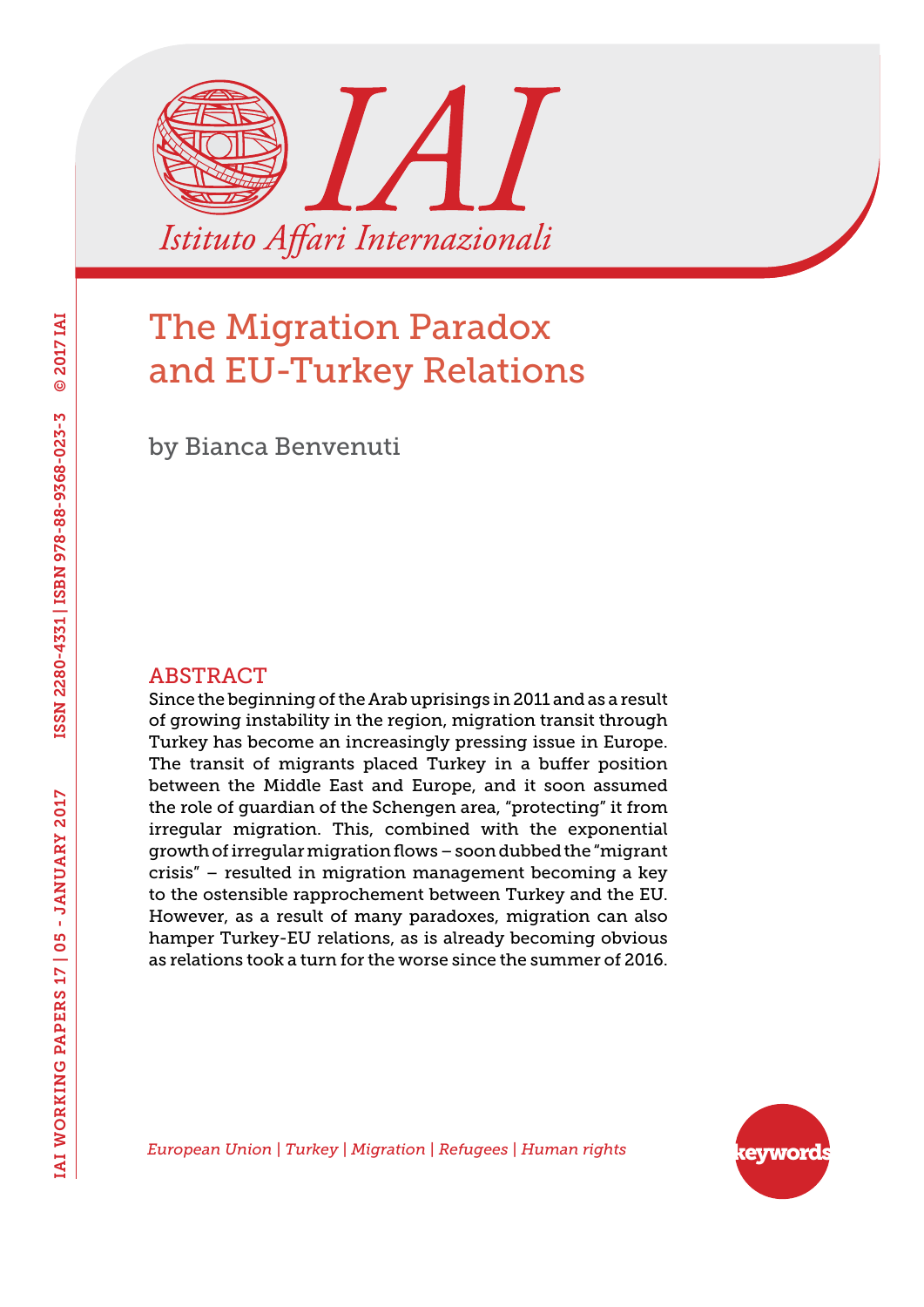

by Bianca Benvenuti

#### ABSTRACT

Since the beginning of the Arab uprisings in 2011 and as a result of growing instability in the region, migration transit through Turkey has become an increasingly pressing issue in Europe. The transit of migrants placed Turkey in a buffer position between the Middle East and Europe, and it soon assumed the role of guardian of the Schengen area, "protecting" it from irregular migration. This, combined with the exponential growth of irregular migration flows – soon dubbed the "migrant crisis" – resulted in migration management becoming a key to the ostensible rapprochement between Turkey and the EU. However, as a result of many paradoxes, migration can also hamper Turkey-EU relations, as is already becoming obvious as relations took a turn for the worse since the summer of 2016.



*European Union | Turkey | Migration | Refugees | Human rights*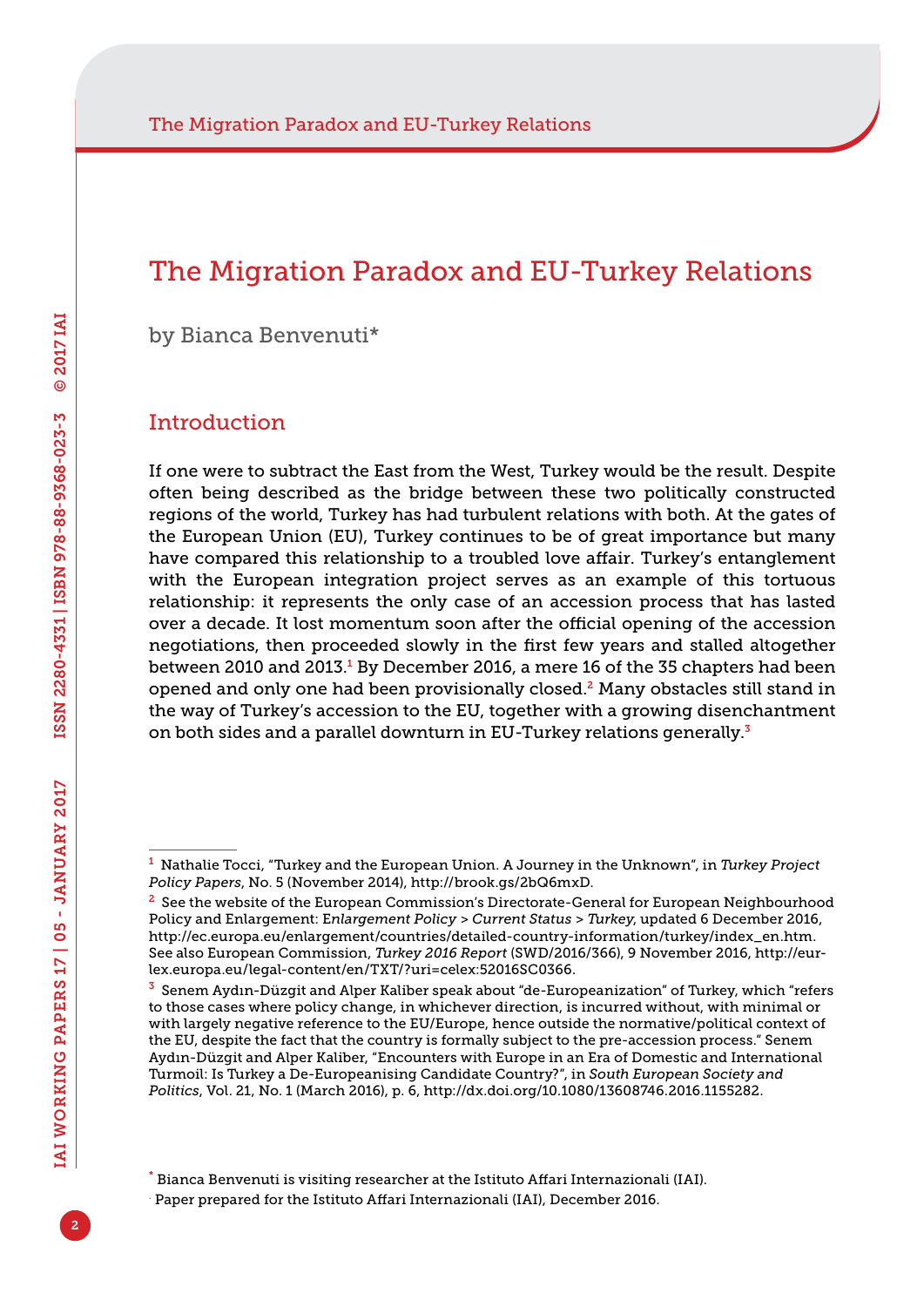by Bianca Benvenuti\*

#### **Introduction**

If one were to subtract the East from the West, Turkey would be the result. Despite often being described as the bridge between these two politically constructed regions of the world, Turkey has had turbulent relations with both. At the gates of the European Union (EU), Turkey continues to be of great importance but many have compared this relationship to a troubled love affair. Turkey's entanglement with the European integration project serves as an example of this tortuous relationship: it represents the only case of an accession process that has lasted over a decade. It lost momentum soon after the official opening of the accession negotiations, then proceeded slowly in the first few years and stalled altogether between 2010 and 2013.<sup>1</sup> By December 2016, a mere 16 of the 35 chapters had been opened and only one had been provisionally closed.2 Many obstacles still stand in the way of Turkey's accession to the EU, together with a growing disenchantment on both sides and a parallel downturn in EU-Turkey relations generally.<sup>3</sup>

<sup>1</sup> Nathalie Tocci, "Turkey and the European Union. A Journey in the Unknown", in *Turkey Project Policy Papers*, No. 5 (November 2014), <http://brook.gs/2bQ6mxD>.

<sup>&</sup>lt;sup>2</sup> See the website of the European Commission's Directorate-General for European Neighbourhood Policy and Enlargement: E*nlargement Policy > Current Status > Turkey*, updated 6 December 2016, [http://ec.europa.eu/enlargement/countries/detailed-country-information/turkey/index\\_en.htm.](http://ec.europa.eu/enlargement/countries/detailed-country-information/turkey/index_en.htm) See also European Commission, *Turkey 2016 Report* (SWD/2016/366), 9 November 2016, [http://eur](http://eur-lex.europa.eu/legal-content/en/TXT/?uri=celex:52016SC0366)[lex.europa.eu/legal-content/en/TXT/?uri=celex:52016SC0366.](http://eur-lex.europa.eu/legal-content/en/TXT/?uri=celex:52016SC0366)

<sup>3</sup> Senem Aydın-Düzgit and Alper Kaliber speak about "de-Europeanization" of Turkey, which "refers to those cases where policy change, in whichever direction, is incurred without, with minimal or with largely negative reference to the EU/Europe, hence outside the normative/political context of the EU, despite the fact that the country is formally subject to the pre-accession process." Senem Aydın-Düzgit and Alper Kaliber, "Encounters with Europe in an Era of Domestic and International Turmoil: Is Turkey a De-Europeanising Candidate Country?", in *South European Society and Politics*, Vol. 21, No. 1 (March 2016), p. 6, [http://dx.doi.org/10.1080/13608746.2016.1155282.](http://dx.doi.org/10.1080/13608746.2016.1155282)

<sup>\*</sup> Bianca Benvenuti is visiting researcher at the Istituto Affari Internazionali (IAI).

<sup>.</sup> Paper prepared for the Istituto Affari Internazionali (IAI), December 2016.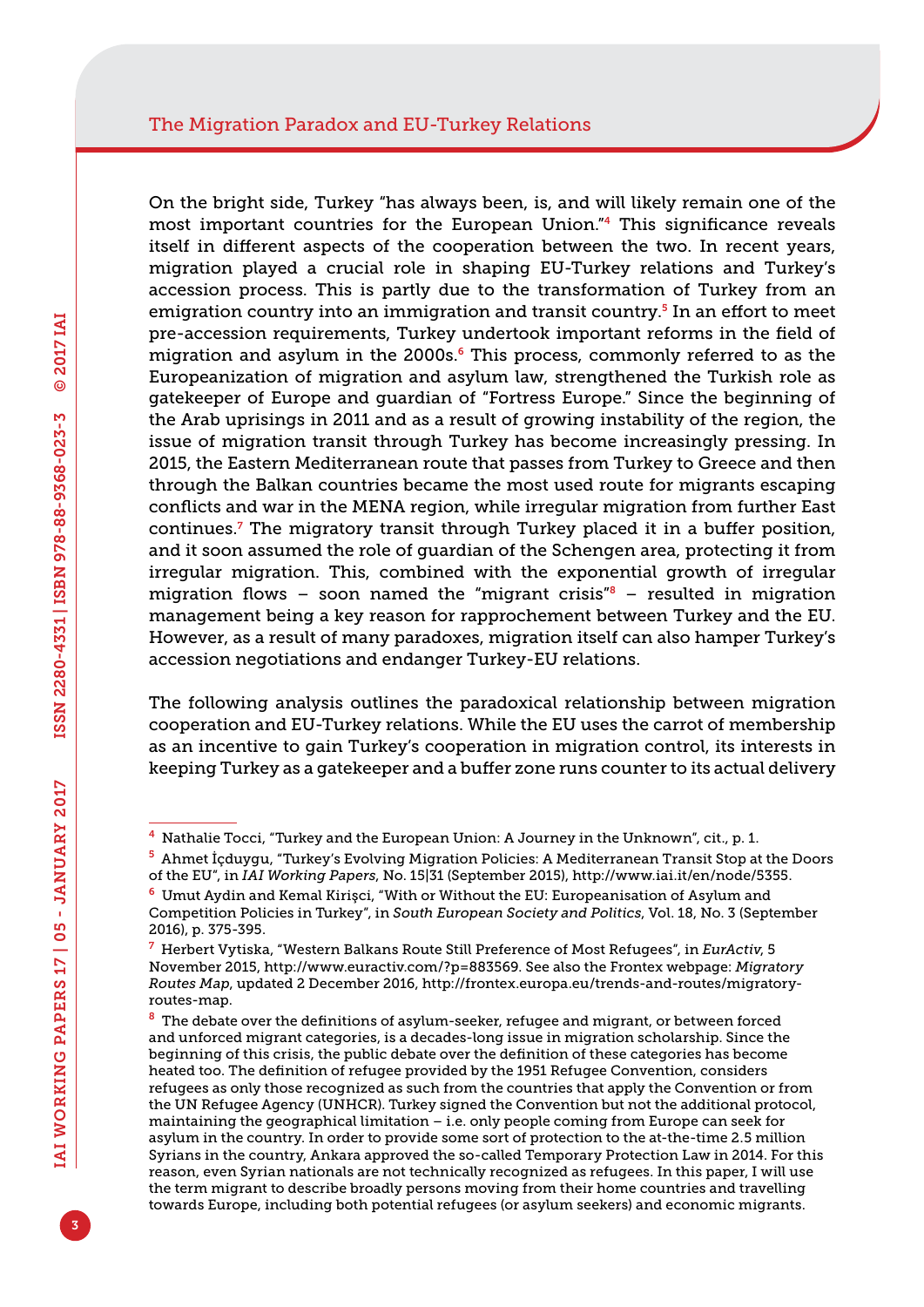On the bright side, Turkey "has always been, is, and will likely remain one of the most important countries for the European Union."4 This significance reveals itself in different aspects of the cooperation between the two. In recent years, migration played a crucial role in shaping EU-Turkey relations and Turkey's accession process. This is partly due to the transformation of Turkey from an emigration country into an immigration and transit country.5 In an effort to meet pre-accession requirements, Turkey undertook important reforms in the field of migration and asylum in the 2000s.<sup>6</sup> This process, commonly referred to as the Europeanization of migration and asylum law, strengthened the Turkish role as gatekeeper of Europe and guardian of "Fortress Europe." Since the beginning of the Arab uprisings in 2011 and as a result of growing instability of the region, the issue of migration transit through Turkey has become increasingly pressing. In 2015, the Eastern Mediterranean route that passes from Turkey to Greece and then through the Balkan countries became the most used route for migrants escaping conflicts and war in the MENA region, while irregular migration from further East continues.<sup>7</sup> The migratory transit through Turkey placed it in a buffer position, and it soon assumed the role of guardian of the Schengen area, protecting it from irregular migration. This, combined with the exponential growth of irregular migration flows – soon named the "migrant crisis" $\delta$  – resulted in migration management being a key reason for rapprochement between Turkey and the EU. However, as a result of many paradoxes, migration itself can also hamper Turkey's accession negotiations and endanger Turkey-EU relations.

The following analysis outlines the paradoxical relationship between migration cooperation and EU-Turkey relations. While the EU uses the carrot of membership as an incentive to gain Turkey's cooperation in migration control, its interests in keeping Turkey as a gatekeeper and a buffer zone runs counter to its actual delivery

 $<sup>4</sup>$  Nathalie Tocci, "Turkey and the European Union: A Journey in the Unknown", cit., p. 1.</sup>

<sup>5</sup> Ahmet İçduygu, "Turkey's Evolving Migration Policies: A Mediterranean Transit Stop at the Doors of the EU", in *IAI Working Papers*, No. 15|31 (September 2015), <http://www.iai.it/en/node/5355>.

<sup>6</sup> Umut Aydin and Kemal Kirişci, "With or Without the EU: Europeanisation of Asylum and Competition Policies in Turkey", in *South European Society and Politics*, Vol. 18, No. 3 (September 2016), p. 375-395.

<sup>7</sup> Herbert Vytiska, "Western Balkans Route Still Preference of Most Refugees", in *EurActiv*, 5 November 2015, [http://www.euractiv.com/?p=883569.](http://www.euractiv.com/?p=883569) See also the Frontex webpage: *Migratory Routes Map*, updated 2 December 2016, [http://frontex.europa.eu/trends-and-routes/migratory](http://frontex.europa.eu/trends-and-routes/migratory-routes-map)[routes-map.](http://frontex.europa.eu/trends-and-routes/migratory-routes-map)

 $8$  The debate over the definitions of asylum-seeker, refugee and migrant, or between forced and unforced migrant categories, is a decades-long issue in migration scholarship. Since the beginning of this crisis, the public debate over the definition of these categories has become heated too. The definition of refugee provided by the 1951 Refugee Convention, considers refugees as only those recognized as such from the countries that apply the Convention or from the UN Refugee Agency (UNHCR). Turkey signed the Convention but not the additional protocol, maintaining the geographical limitation – i.e. only people coming from Europe can seek for asylum in the country. In order to provide some sort of protection to the at-the-time 2.5 million Syrians in the country, Ankara approved the so-called Temporary Protection Law in 2014. For this reason, even Syrian nationals are not technically recognized as refugees. In this paper, I will use the term migrant to describe broadly persons moving from their home countries and travelling towards Europe, including both potential refugees (or asylum seekers) and economic migrants.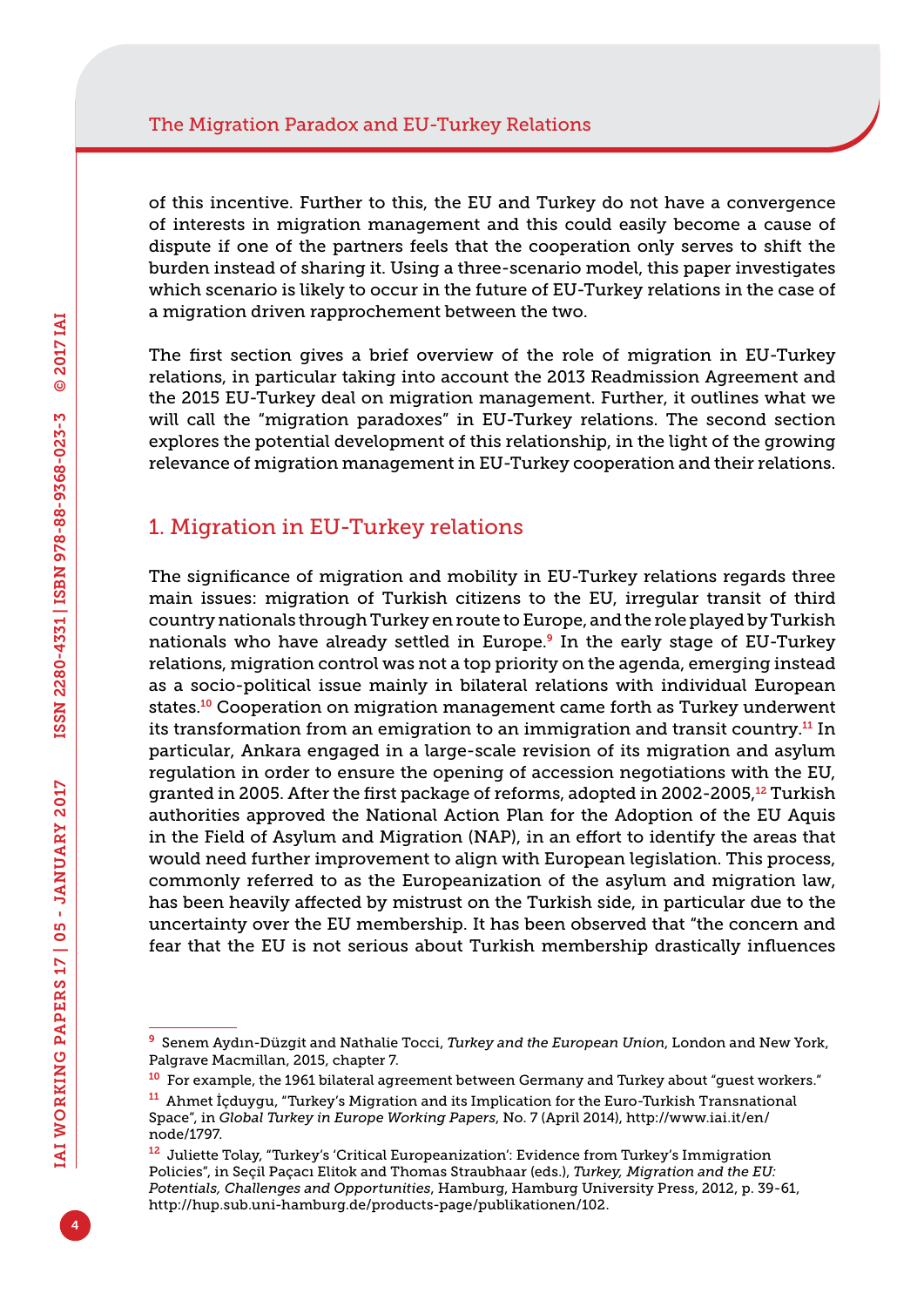of this incentive. Further to this, the EU and Turkey do not have a convergence of interests in migration management and this could easily become a cause of dispute if one of the partners feels that the cooperation only serves to shift the burden instead of sharing it. Using a three-scenario model, this paper investigates which scenario is likely to occur in the future of EU-Turkey relations in the case of a migration driven rapprochement between the two.

The first section gives a brief overview of the role of migration in EU-Turkey relations, in particular taking into account the 2013 Readmission Agreement and the 2015 EU-Turkey deal on migration management. Further, it outlines what we will call the "migration paradoxes" in EU-Turkey relations. The second section explores the potential development of this relationship, in the light of the growing relevance of migration management in EU-Turkey cooperation and their relations.

### 1. Migration in EU-Turkey relations

The significance of migration and mobility in EU-Turkey relations regards three main issues: migration of Turkish citizens to the EU, irregular transit of third country nationals through Turkey en route to Europe, and the role played by Turkish nationals who have already settled in Europe.9 In the early stage of EU-Turkey relations, migration control was not a top priority on the agenda, emerging instead as a socio-political issue mainly in bilateral relations with individual European states.10 Cooperation on migration management came forth as Turkey underwent its transformation from an emigration to an immigration and transit country.<sup>11</sup> In particular, Ankara engaged in a large-scale revision of its migration and asylum regulation in order to ensure the opening of accession negotiations with the EU, granted in 2005. After the first package of reforms, adopted in 2002-2005,12 Turkish authorities approved the National Action Plan for the Adoption of the EU Aquis in the Field of Asylum and Migration (NAP), in an effort to identify the areas that would need further improvement to align with European legislation. This process, commonly referred to as the Europeanization of the asylum and migration law, has been heavily affected by mistrust on the Turkish side, in particular due to the uncertainty over the EU membership. It has been observed that "the concern and fear that the EU is not serious about Turkish membership drastically influences

<sup>9</sup> Senem Aydın-Düzgit and Nathalie Tocci, *Turkey and the European Union*, London and New York, Palgrave Macmillan, 2015, chapter 7.

<sup>&</sup>lt;sup>10</sup> For example, the 1961 bilateral agreement between Germany and Turkey about "guest workers."

<sup>11</sup> Ahmet İçduygu, "Turkey's Migration and its Implication for the Euro-Turkish Transnational Space", in *Global Turkey in Europe Working Papers*, No. 7 (April 2014), [http://www.iai.it/en/](http://www.iai.it/en/node/1797) [node/1797](http://www.iai.it/en/node/1797).

<sup>&</sup>lt;sup>12</sup> Juliette Tolay, "Turkey's 'Critical Europeanization': Evidence from Turkey's Immigration Policies", in Seçil Paçacı Elitok and Thomas Straubhaar (eds.), *Turkey, Migration and the EU: Potentials, Challenges and Opportunities*, Hamburg, Hamburg University Press, 2012, p. 39-61, <http://hup.sub.uni-hamburg.de/products-page/publikationen/102>.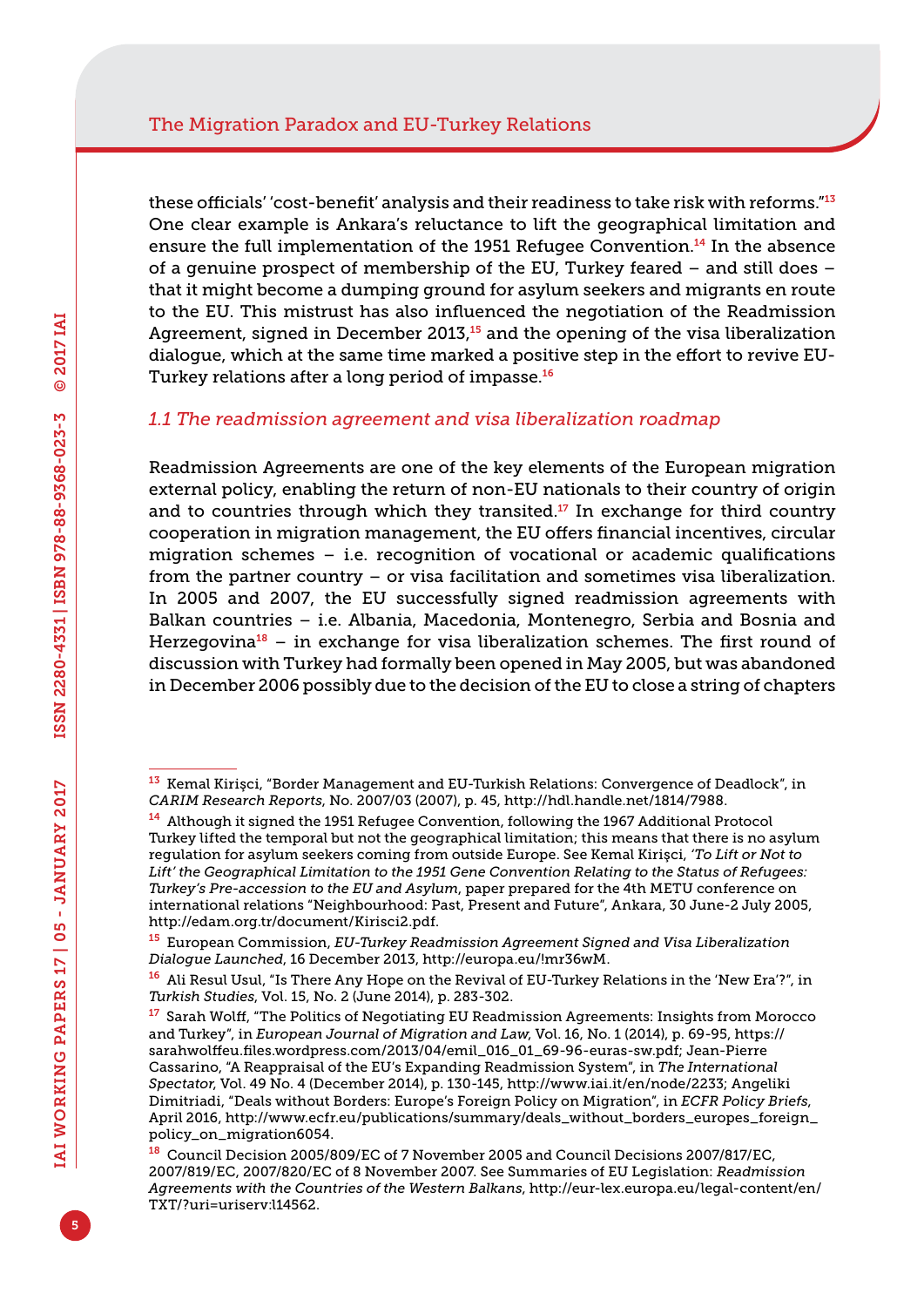these officials' 'cost-benefit' analysis and their readiness to take risk with reforms."<sup>13</sup> One clear example is Ankara's reluctance to lift the geographical limitation and ensure the full implementation of the 1951 Refugee Convention.<sup>14</sup> In the absence of a genuine prospect of membership of the EU, Turkey feared – and still does – that it might become a dumping ground for asylum seekers and migrants en route to the EU. This mistrust has also influenced the negotiation of the Readmission Agreement, signed in December 2013,<sup>15</sup> and the opening of the visa liberalization dialogue, which at the same time marked a positive step in the effort to revive EU-Turkey relations after a long period of impasse.<sup>16</sup>

#### *1.1 The readmission agreement and visa liberalization roadmap*

Readmission Agreements are one of the key elements of the European migration external policy, enabling the return of non-EU nationals to their country of origin and to countries through which they transited. $17$  In exchange for third country cooperation in migration management, the EU offers financial incentives, circular migration schemes – i.e. recognition of vocational or academic qualifications from the partner country – or visa facilitation and sometimes visa liberalization. In 2005 and 2007, the EU successfully signed readmission agreements with Balkan countries – i.e. Albania, Macedonia, Montenegro, Serbia and Bosnia and Herzegovina<sup>18</sup> – in exchange for visa liberalization schemes. The first round of discussion with Turkey had formally been opened in May 2005, but was abandoned in December 2006 possibly due to the decision of the EU to close a string of chapters

<sup>13</sup> Kemal Kirişci, "Border Management and EU-Turkish Relations: Convergence of Deadlock", in *CARIM Research Reports*, No. 2007/03 (2007), p. 45, [http://hdl.handle.net/1814/7988.](http://hdl.handle.net/1814/7988)

<sup>14</sup> Although it signed the 1951 Refugee Convention, following the 1967 Additional Protocol Turkey lifted the temporal but not the geographical limitation; this means that there is no asylum regulation for asylum seekers coming from outside Europe. See Kemal Kirişci, *'To Lift or Not to Lift' the Geographical Limitation to the 1951 Gene Convention Relating to the Status of Refugees: Turkey's Pre-accession to the EU and Asylum*, paper prepared for the 4th METU conference on international relations "Neighbourhood: Past, Present and Future", Ankara, 30 June-2 July 2005, [http://edam.org.tr/document/Kirisci2.pdf.](http://edam.org.tr/document/Kirisci2.pdf)

<sup>15</sup> European Commission, *EU-Turkey Readmission Agreement Signed and Visa Liberalization Dialogue Launched*, 16 December 2013, [http://europa.eu/!mr36wM.](http://europa.eu/!mr36wM)

<sup>16</sup> Ali Resul Usul, "Is There Any Hope on the Revival of EU-Turkey Relations in the 'New Era'?", in *Turkish Studies*, Vol. 15, No. 2 (June 2014), p. 283-302.

<sup>&</sup>lt;sup>17</sup> Sarah Wolff, "The Politics of Negotiating EU Readmission Agreements: Insights from Morocco and Turkey", in *European Journal of Migration and Law*, Vol. 16, No. 1 (2014), p. 69-95, [https://](https://sarahwolffeu.files.wordpress.com/2013/04/emil_016_01_69-96-euras-sw.pdf) [sarahwolffeu.files.wordpress.com/2013/04/emil\\_016\\_01\\_69-96-euras-sw.pdf](https://sarahwolffeu.files.wordpress.com/2013/04/emil_016_01_69-96-euras-sw.pdf); Jean-Pierre Cassarino, "A Reappraisal of the EU's Expanding Readmission System", in *The International Spectator*, Vol. 49 No. 4 (December 2014), p. 130-145, <http://www.iai.it/en/node/2233>; Angeliki Dimitriadi, "Deals without Borders: Europe's Foreign Policy on Migration", in *ECFR Policy Briefs*, April 2016, [http://www.ecfr.eu/publications/summary/deals\\_without\\_borders\\_europes\\_foreign\\_](http://www.ecfr.eu/publications/summary/deals_without_borders_europes_foreign_policy_on_migration6054) [policy\\_on\\_migration6054.](http://www.ecfr.eu/publications/summary/deals_without_borders_europes_foreign_policy_on_migration6054)

<sup>18</sup> Council Decision 2005/809/EC of 7 November 2005 and Council Decisions 2007/817/EC, 2007/819/EC, 2007/820/EC of 8 November 2007. See Summaries of EU Legislation: *Readmission Agreements with the Countries of the Western Balkans*, [http://eur-lex.europa.eu/legal-content/en/](http://eur-lex.europa.eu/legal-content/en/TXT/?uri=uriserv:l14562) [TXT/?uri=uriserv:l14562.](http://eur-lex.europa.eu/legal-content/en/TXT/?uri=uriserv:l14562)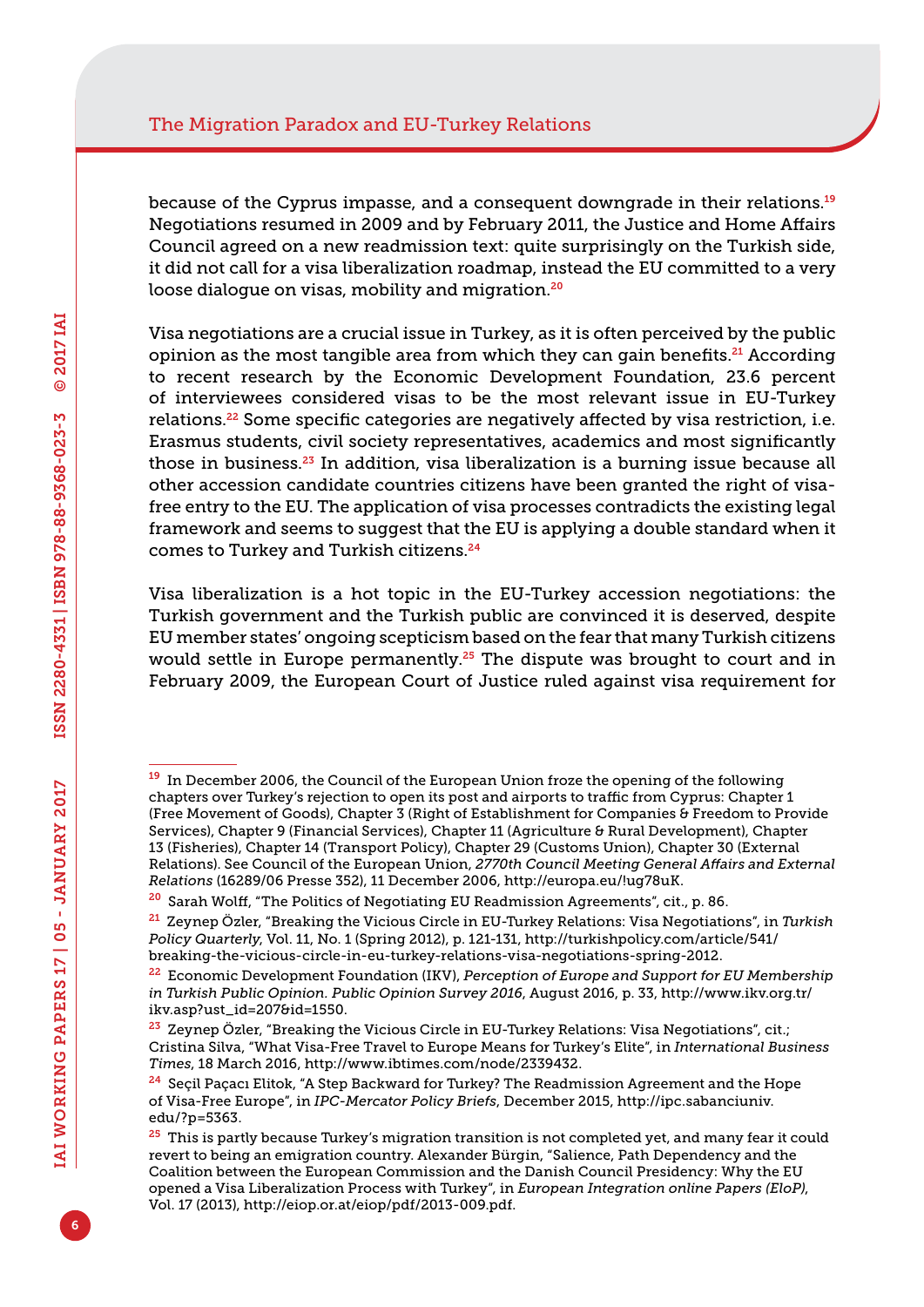because of the Cyprus impasse, and a consequent downgrade in their relations.<sup>19</sup> Negotiations resumed in 2009 and by February 2011, the Justice and Home Affairs Council agreed on a new readmission text: quite surprisingly on the Turkish side, it did not call for a visa liberalization roadmap, instead the EU committed to a very loose dialogue on visas, mobility and migration.<sup>20</sup>

Visa negotiations are a crucial issue in Turkey, as it is often perceived by the public opinion as the most tangible area from which they can gain benefits.<sup>21</sup> According to recent research by the Economic Development Foundation, 23.6 percent of interviewees considered visas to be the most relevant issue in EU-Turkey relations.22 Some specific categories are negatively affected by visa restriction, i.e. Erasmus students, civil society representatives, academics and most significantly those in business.23 In addition, visa liberalization is a burning issue because all other accession candidate countries citizens have been granted the right of visafree entry to the EU. The application of visa processes contradicts the existing legal framework and seems to suggest that the EU is applying a double standard when it comes to Turkey and Turkish citizens.<sup>24</sup>

Visa liberalization is a hot topic in the EU-Turkey accession negotiations: the Turkish government and the Turkish public are convinced it is deserved, despite EU member states' ongoing scepticism based on the fear that many Turkish citizens would settle in Europe permanently.<sup>25</sup> The dispute was brought to court and in February 2009, the European Court of Justice ruled against visa requirement for

<sup>&</sup>lt;sup>19</sup> In December 2006, the Council of the European Union froze the opening of the following chapters over Turkey's rejection to open its post and airports to traffic from Cyprus: Chapter 1 (Free Movement of Goods), Chapter 3 (Right of Establishment for Companies & Freedom to Provide Services), Chapter 9 (Financial Services), Chapter 11 (Agriculture & Rural Development), Chapter 13 (Fisheries), Chapter 14 (Transport Policy), Chapter 29 (Customs Union), Chapter 30 (External Relations). See Council of the European Union, *2770th Council Meeting General Affairs and External Relations* (16289/06 Presse 352), 11 December 2006,<http://europa.eu/!ug78uK>.

<sup>20</sup> Sarah Wolff, "The Politics of Negotiating EU Readmission Agreements", cit., p. 86.

<sup>21</sup> Zeynep Özler, "Breaking the Vicious Circle in EU-Turkey Relations: Visa Negotiations", in *Turkish Policy Quarterly*, Vol. 11, No. 1 (Spring 2012), p. 121-131, [http://turkishpolicy.com/article/541/](http://turkishpolicy.com/article/541/breaking-the-vicious-circle-in-eu-turkey-relations-visa-negotiations-spring-2012) [breaking-the-vicious-circle-in-eu-turkey-relations-visa-negotiations-spring-2012.](http://turkishpolicy.com/article/541/breaking-the-vicious-circle-in-eu-turkey-relations-visa-negotiations-spring-2012)

<sup>22</sup> Economic Development Foundation (IKV), *Perception of Europe and Support for EU Membership in Turkish Public Opinion. Public Opinion Survey 2016*, August 2016, p. 33, [http://www.ikv.org.tr/](http://www.ikv.org.tr/ikv.asp?ust_id=207&id=1550) [ikv.asp?ust\\_id=207&id=1550.](http://www.ikv.org.tr/ikv.asp?ust_id=207&id=1550)

<sup>&</sup>lt;sup>23</sup> Zeynep Özler, "Breaking the Vicious Circle in EU-Turkey Relations: Visa Negotiations", cit.; Cristina Silva, "What Visa-Free Travel to Europe Means for Turkey's Elite", in *International Business Times*, 18 March 2016, [http://www.ibtimes.com/node/2339432.](http://www.ibtimes.com/node/2339432)

<sup>&</sup>lt;sup>24</sup> Secil Paçacı Elitok, "A Step Backward for Turkey? The Readmission Agreement and the Hope of Visa-Free Europe", in *IPC-Mercator Policy Briefs*, December 2015, [http://ipc.sabanciuniv.](http://ipc.sabanciuniv.edu/?p=5363) [edu/?p=5363.](http://ipc.sabanciuniv.edu/?p=5363)

<sup>&</sup>lt;sup>25</sup> This is partly because Turkey's migration transition is not completed yet, and many fear it could revert to being an emigration country. Alexander Bürgin, "Salience, Path Dependency and the Coalition between the European Commission and the Danish Council Presidency: Why the EU opened a Visa Liberalization Process with Turkey", in *European Integration online Papers (EloP)*, Vol. 17 (2013),<http://eiop.or.at/eiop/pdf/2013-009.pdf>.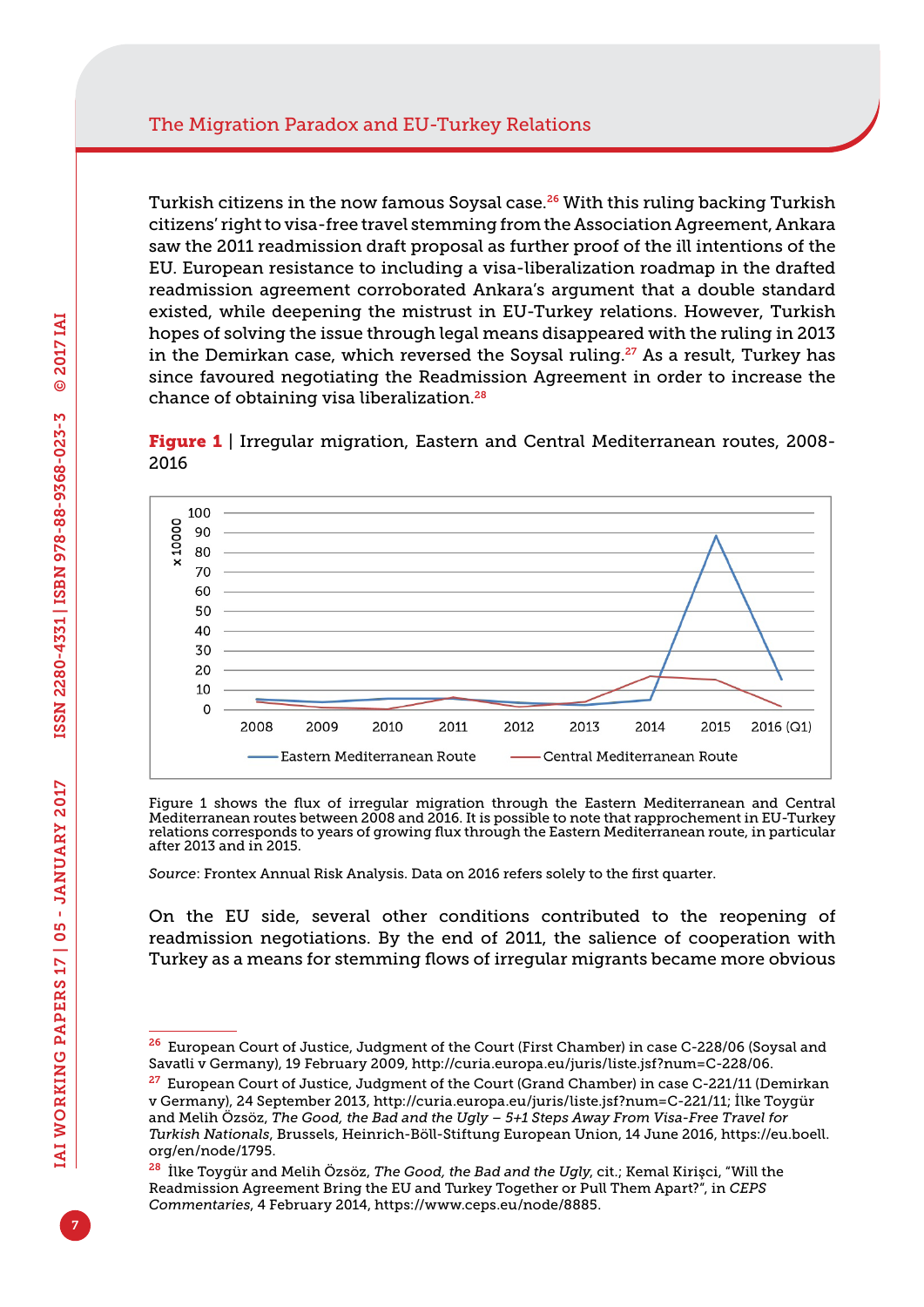Turkish citizens in the now famous Soysal case.<sup>26</sup> With this ruling backing Turkish citizens' right to visa-free travel stemming from the Association Agreement, Ankara saw the 2011 readmission draft proposal as further proof of the ill intentions of the EU. European resistance to including a visa-liberalization roadmap in the drafted readmission agreement corroborated Ankara's argument that a double standard existed, while deepening the mistrust in EU-Turkey relations. However, Turkish hopes of solving the issue through legal means disappeared with the ruling in 2013 in the Demirkan case, which reversed the Soysal ruling.<sup>27</sup> As a result, Turkey has since favoured negotiating the Readmission Agreement in order to increase the chance of obtaining visa liberalization.<sup>28</sup>

**Figure 1** | Irregular migration, Eastern and Central Mediterranean routes, 2008-2016



Figure 1 shows the flux of irregular migration through the Eastern Mediterranean and Central Mediterranean routes between 2008 and 2016. It is possible to note that rapprochement in EU-Turkey relations corresponds to years of growing flux through the Eastern Mediterranean route, in particular after 2013 and in 2015.

*Source*: Frontex Annual Risk Analysis. Data on 2016 refers solely to the first quarter.

On the EU side, several other conditions contributed to the reopening of readmission negotiations. By the end of 2011, the salience of cooperation with Turkey as a means for stemming flows of irregular migrants became more obvious

<sup>26</sup> European Court of Justice, Judgment of the Court (First Chamber) in case C-228/06 (Soysal and Savatli v Germany), 19 February 2009,<http://curia.europa.eu/juris/liste.jsf?num=C-228/06>.

<sup>&</sup>lt;sup>27</sup> European Court of Justice, Judgment of the Court (Grand Chamber) in case C-221/11 (Demirkan v Germany), 24 September 2013, [http://curia.europa.eu/juris/liste.jsf?num=C-221/11;](http://curia.europa.eu/juris/liste.jsf?num=C-221/11) İlke Toygür and Melih Özsöz, *The Good, the Bad and the Ugly – 5+1 Steps Away From Visa-Free Travel for Turkish Nationals*, Brussels, Heinrich-Böll-Stiftung European Union, 14 June 2016, [https://eu.boell.](https://eu.boell.org/en/node/1795) [org/en/node/1795](https://eu.boell.org/en/node/1795).

<sup>28</sup> İlke Toygür and Melih Özsöz, *The Good, the Bad and the Ugly*, cit.; Kemal Kirişci, "Will the Readmission Agreement Bring the EU and Turkey Together or Pull Them Apart?", in *CEPS Commentaries*, 4 February 2014,<https://www.ceps.eu/node/8885>.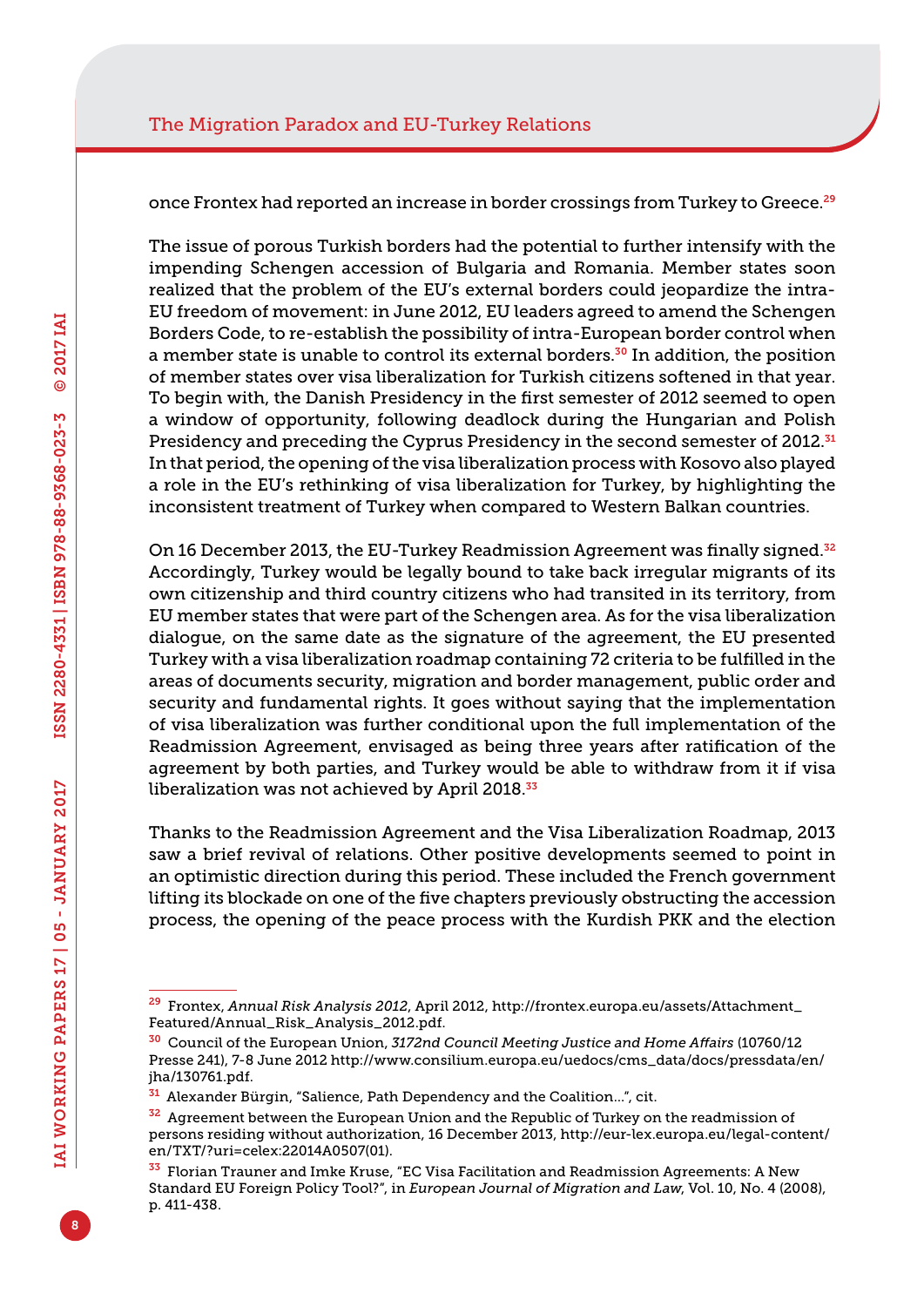once Frontex had reported an increase in border crossings from Turkey to Greece.<sup>29</sup>

The issue of porous Turkish borders had the potential to further intensify with the impending Schengen accession of Bulgaria and Romania. Member states soon realized that the problem of the EU's external borders could jeopardize the intra-EU freedom of movement: in June 2012, EU leaders agreed to amend the Schengen Borders Code, to re-establish the possibility of intra-European border control when a member state is unable to control its external borders.<sup>30</sup> In addition, the position of member states over visa liberalization for Turkish citizens softened in that year. To begin with, the Danish Presidency in the first semester of 2012 seemed to open a window of opportunity, following deadlock during the Hungarian and Polish Presidency and preceding the Cyprus Presidency in the second semester of 2012.<sup>31</sup> In that period, the opening of the visa liberalization process with Kosovo also played a role in the EU's rethinking of visa liberalization for Turkey, by highlighting the inconsistent treatment of Turkey when compared to Western Balkan countries.

On 16 December 2013, the EU-Turkey Readmission Agreement was finally signed.<sup>32</sup> Accordingly, Turkey would be legally bound to take back irregular migrants of its own citizenship and third country citizens who had transited in its territory, from EU member states that were part of the Schengen area. As for the visa liberalization dialogue, on the same date as the signature of the agreement, the EU presented Turkey with a visa liberalization roadmap containing 72 criteria to be fulfilled in the areas of documents security, migration and border management, public order and security and fundamental rights. It goes without saying that the implementation of visa liberalization was further conditional upon the full implementation of the Readmission Agreement, envisaged as being three years after ratification of the agreement by both parties, and Turkey would be able to withdraw from it if visa liberalization was not achieved by April 2018.<sup>33</sup>

Thanks to the Readmission Agreement and the Visa Liberalization Roadmap, 2013 saw a brief revival of relations. Other positive developments seemed to point in an optimistic direction during this period. These included the French government lifting its blockade on one of the five chapters previously obstructing the accession process, the opening of the peace process with the Kurdish PKK and the election

<sup>29</sup> Frontex, *Annual Risk Analysis 2012*, April 2012, [http://frontex.europa.eu/assets/Attachment\\_](http://frontex.europa.eu/assets/Attachment_Featured/Annual_Risk_Analysis_2012.pdf) [Featured/Annual\\_Risk\\_Analysis\\_2012.pdf.](http://frontex.europa.eu/assets/Attachment_Featured/Annual_Risk_Analysis_2012.pdf)

<sup>30</sup> Council of the European Union, *3172nd Council Meeting Justice and Home Affairs* (10760/12 Presse 241), 7-8 June 2012 [http://www.consilium.europa.eu/uedocs/cms\\_data/docs/pressdata/en/](http://www.consilium.europa.eu/uedocs/cms_data/docs/pressdata/en/jha/130761.pdf) [jha/130761.pdf](http://www.consilium.europa.eu/uedocs/cms_data/docs/pressdata/en/jha/130761.pdf).

<sup>31</sup> Alexander Bürgin, "Salience, Path Dependency and the Coalition…", cit.

<sup>&</sup>lt;sup>32</sup> Agreement between the European Union and the Republic of Turkey on the readmission of persons residing without authorization, 16 December 2013, [http://eur-lex.europa.eu/legal-content/](http://eur-lex.europa.eu/legal-content/en/TXT/?uri=celex:22014A0507(01)) [en/TXT/?uri=celex:22014A0507\(01\).](http://eur-lex.europa.eu/legal-content/en/TXT/?uri=celex:22014A0507(01))

<sup>33</sup> Florian Trauner and Imke Kruse, "EC Visa Facilitation and Readmission Agreements: A New Standard EU Foreign Policy Tool?", in *European Journal of Migration and Law*, Vol. 10, No. 4 (2008), p. 411-438.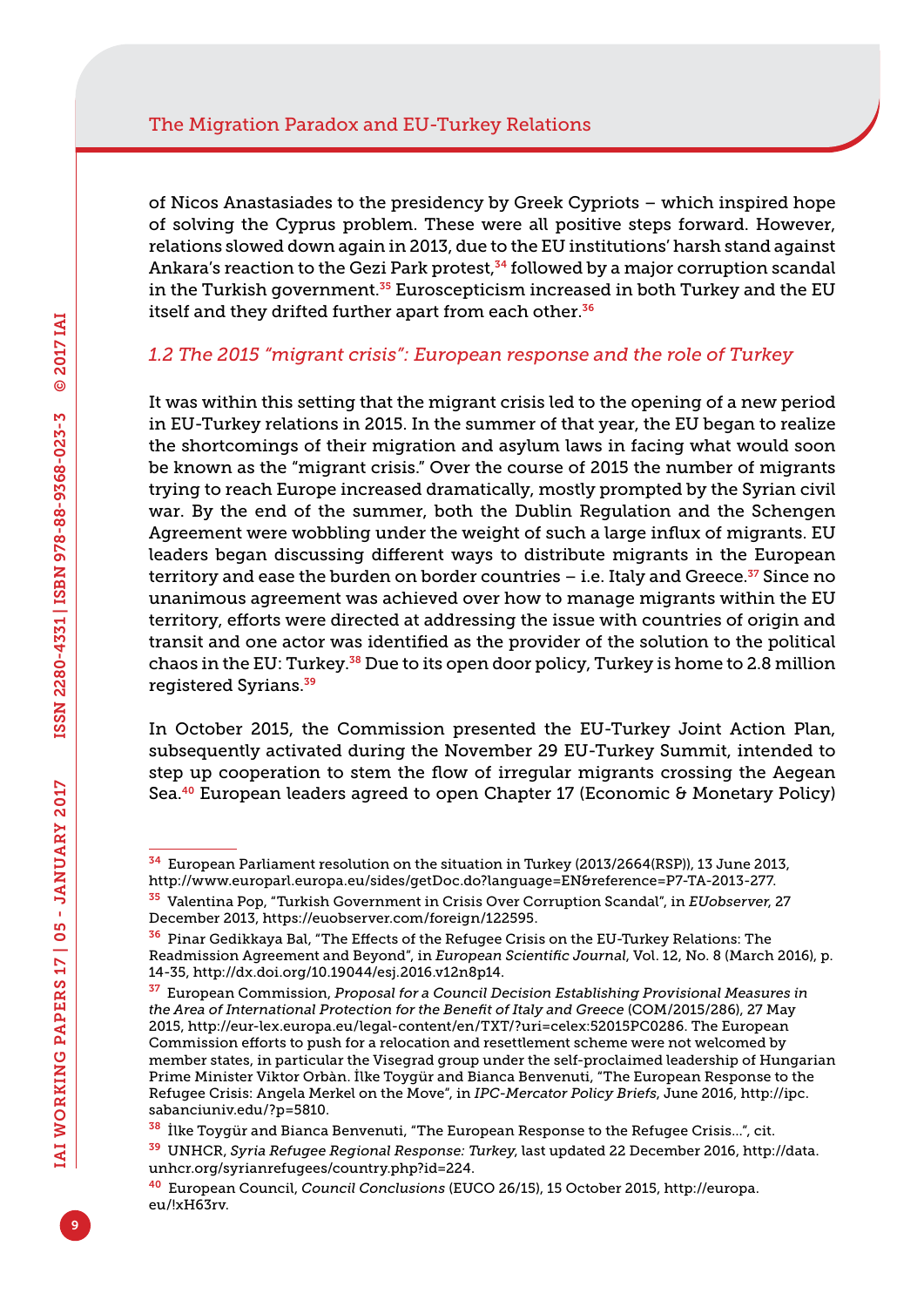of Nicos Anastasiades to the presidency by Greek Cypriots – which inspired hope of solving the Cyprus problem. These were all positive steps forward. However, relations slowed down again in 2013, due to the EU institutions' harsh stand against Ankara's reaction to the Gezi Park protest,<sup>34</sup> followed by a major corruption scandal in the Turkish government.<sup>35</sup> Euroscepticism increased in both Turkey and the EU itself and they drifted further apart from each other.<sup>36</sup>

#### *1.2 The 2015 "migrant crisis": European response and the role of Turkey*

It was within this setting that the migrant crisis led to the opening of a new period in EU-Turkey relations in 2015. In the summer of that year, the EU began to realize the shortcomings of their migration and asylum laws in facing what would soon be known as the "migrant crisis." Over the course of 2015 the number of migrants trying to reach Europe increased dramatically, mostly prompted by the Syrian civil war. By the end of the summer, both the Dublin Regulation and the Schengen Agreement were wobbling under the weight of such a large influx of migrants. EU leaders began discussing different ways to distribute migrants in the European territory and ease the burden on border countries  $-$  i.e. Italy and Greece.<sup>37</sup> Since no unanimous agreement was achieved over how to manage migrants within the EU territory, efforts were directed at addressing the issue with countries of origin and transit and one actor was identified as the provider of the solution to the political chaos in the EU: Turkey.38 Due to its open door policy, Turkey is home to 2.8 million registered Syrians.<sup>39</sup>

In October 2015, the Commission presented the EU-Turkey Joint Action Plan, subsequently activated during the November 29 EU-Turkey Summit, intended to step up cooperation to stem the flow of irregular migrants crossing the Aegean Sea.<sup>40</sup> European leaders agreed to open Chapter 17 (Economic & Monetary Policy)

<sup>34</sup> European Parliament resolution on the situation in Turkey (2013/2664(RSP)), 13 June 2013,

[http://www.europarl.europa.eu/sides/getDoc.do?language=EN&reference=P7-TA-2013-277.](http://www.europarl.europa.eu/sides/getDoc.do?language=EN&reference=P7-TA-2013-277)

<sup>35</sup> Valentina Pop, "Turkish Government in Crisis Over Corruption Scandal", in *EUobserver*, 27 December 2013,<https://euobserver.com/foreign/122595>.

<sup>36</sup> Pinar Gedikkaya Bal, "The Effects of the Refugee Crisis on the EU-Turkey Relations: The Readmission Agreement and Beyond", in *European Scientific Journal*, Vol. 12, No. 8 (March 2016), p. 14-35, [http://dx.doi.org/10.19044/esj.2016.v12n8p14.](http://dx.doi.org/10.19044/esj.2016.v12n8p14)

<sup>37</sup> European Commission, *Proposal for a Council Decision Establishing Provisional Measures in the Area of International Protection for the Benefit of Italy and Greece* (COM/2015/286), 27 May 2015, [http://eur-lex.europa.eu/legal-content/en/TXT/?uri=celex:52015PC0286.](http://eur-lex.europa.eu/legal-content/en/TXT/?uri=celex:52015PC0286) The European Commission efforts to push for a relocation and resettlement scheme were not welcomed by member states, in particular the Visegrad group under the self-proclaimed leadership of Hungarian Prime Minister Viktor Orbàn. İlke Toygür and Bianca Benvenuti, "The European Response to the Refugee Crisis: Angela Merkel on the Move", in *IPC-Mercator Policy Briefs*, June 2016, [http://ipc.](http://ipc.sabanciuniv.edu/?p=5810) [sabanciuniv.edu/?p=5810.](http://ipc.sabanciuniv.edu/?p=5810)

<sup>38</sup> İlke Toygür and Bianca Benvenuti, "The European Response to the Refugee Crisis…", cit.

<sup>39</sup> UNHCR, *Syria Refugee Regional Response: Turkey*, last updated 22 December 2016, [http://data.](http://data.unhcr.org/syrianrefugees/country.php?id=224) [unhcr.org/syrianrefugees/country.php?id=224.](http://data.unhcr.org/syrianrefugees/country.php?id=224)

<sup>40</sup> European Council, *Council Conclusions* (EUCO 26/15), 15 October 2015, [http://europa.](http://europa.eu/!xH63rv) [eu/!xH63rv](http://europa.eu/!xH63rv).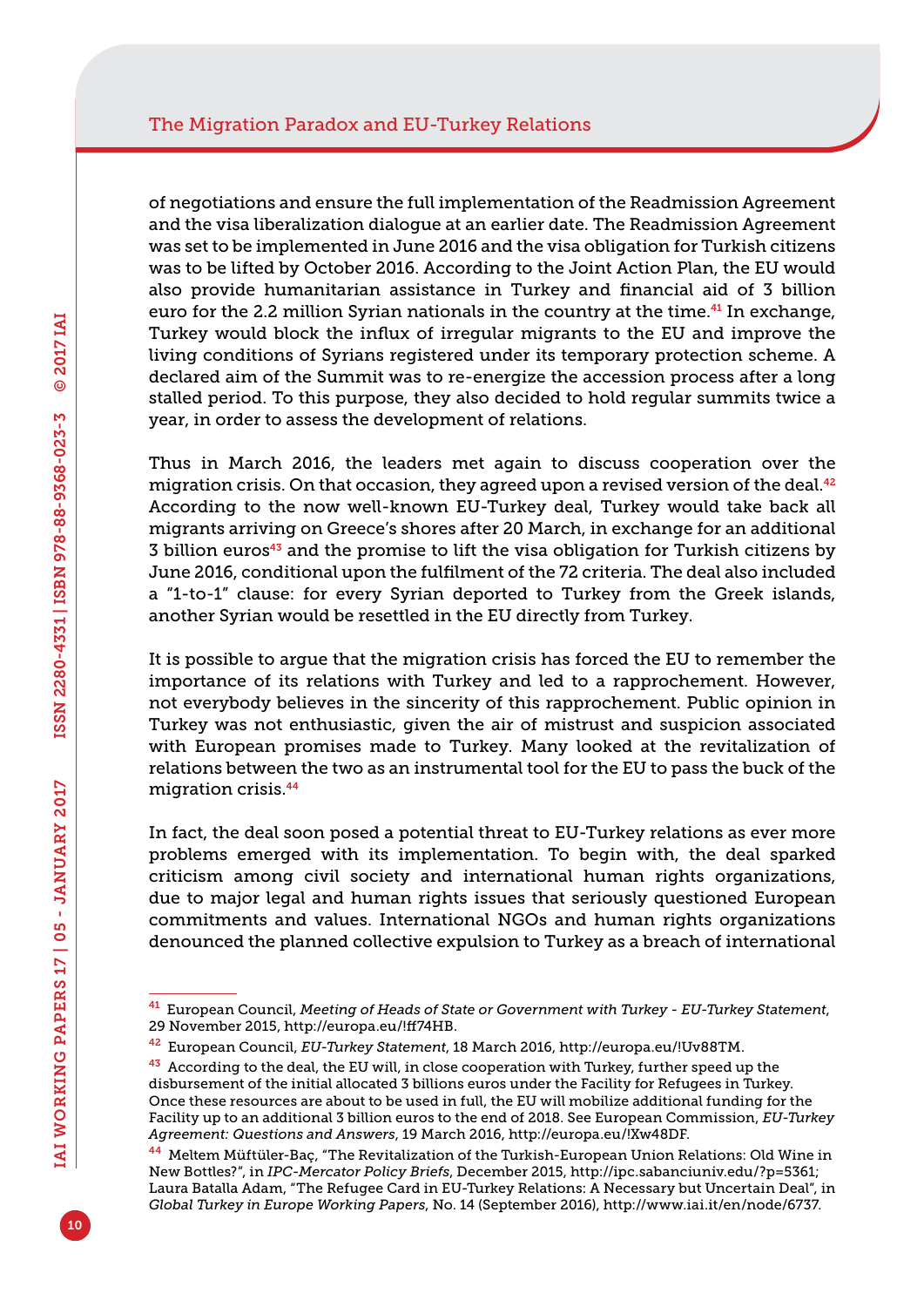of negotiations and ensure the full implementation of the Readmission Agreement and the visa liberalization dialogue at an earlier date. The Readmission Agreement was set to be implemented in June 2016 and the visa obligation for Turkish citizens was to be lifted by October 2016. According to the Joint Action Plan, the EU would also provide humanitarian assistance in Turkey and financial aid of 3 billion euro for the 2.2 million Syrian nationals in the country at the time.<sup>41</sup> In exchange, Turkey would block the influx of irregular migrants to the EU and improve the living conditions of Syrians registered under its temporary protection scheme. A declared aim of the Summit was to re-energize the accession process after a long stalled period. To this purpose, they also decided to hold regular summits twice a year, in order to assess the development of relations.

Thus in March 2016, the leaders met again to discuss cooperation over the migration crisis. On that occasion, they agreed upon a revised version of the deal. $42$ According to the now well-known EU-Turkey deal, Turkey would take back all migrants arriving on Greece's shores after 20 March, in exchange for an additional 3 billion euros<sup>43</sup> and the promise to lift the visa obligation for Turkish citizens by June 2016, conditional upon the fulfilment of the 72 criteria. The deal also included a "1-to-1" clause: for every Syrian deported to Turkey from the Greek islands, another Syrian would be resettled in the EU directly from Turkey.

It is possible to argue that the migration crisis has forced the EU to remember the importance of its relations with Turkey and led to a rapprochement. However, not everybody believes in the sincerity of this rapprochement. Public opinion in Turkey was not enthusiastic, given the air of mistrust and suspicion associated with European promises made to Turkey. Many looked at the revitalization of relations between the two as an instrumental tool for the EU to pass the buck of the migration crisis.<sup>44</sup>

In fact, the deal soon posed a potential threat to EU-Turkey relations as ever more problems emerged with its implementation. To begin with, the deal sparked criticism among civil society and international human rights organizations, due to major legal and human rights issues that seriously questioned European commitments and values. International NGOs and human rights organizations denounced the planned collective expulsion to Turkey as a breach of international

<sup>41</sup> European Council, *Meeting of Heads of State or Government with Turkey - EU-Turkey Statement*, 29 November 2015,<http://europa.eu/!ff74HB>.

<sup>42</sup> European Council, *EU-Turkey Statement*, 18 March 2016, [http://europa.eu/!Uv88TM.](http://europa.eu/!Uv88TM)

 $43$  According to the deal, the EU will, in close cooperation with Turkey, further speed up the disbursement of the initial allocated 3 billions euros under the Facility for Refugees in Turkey. Once these resources are about to be used in full, the EU will mobilize additional funding for the Facility up to an additional 3 billion euros to the end of 2018. See European Commission, *EU-Turkey Agreement: Questions and Answers*, 19 March 2016, <http://europa.eu/!Xw48DF>.

<sup>44</sup> Meltem Müftüler-Baç, "The Revitalization of the Turkish-European Union Relations: Old Wine in New Bottles?", in *IPC-Mercator Policy Briefs*, December 2015, <http://ipc.sabanciuniv.edu/?p=5361>; Laura Batalla Adam, "The Refugee Card in EU-Turkey Relations: A Necessary but Uncertain Deal", in *Global Turkey in Europe Working Papers*, No. 14 (September 2016), <http://www.iai.it/en/node/6737>.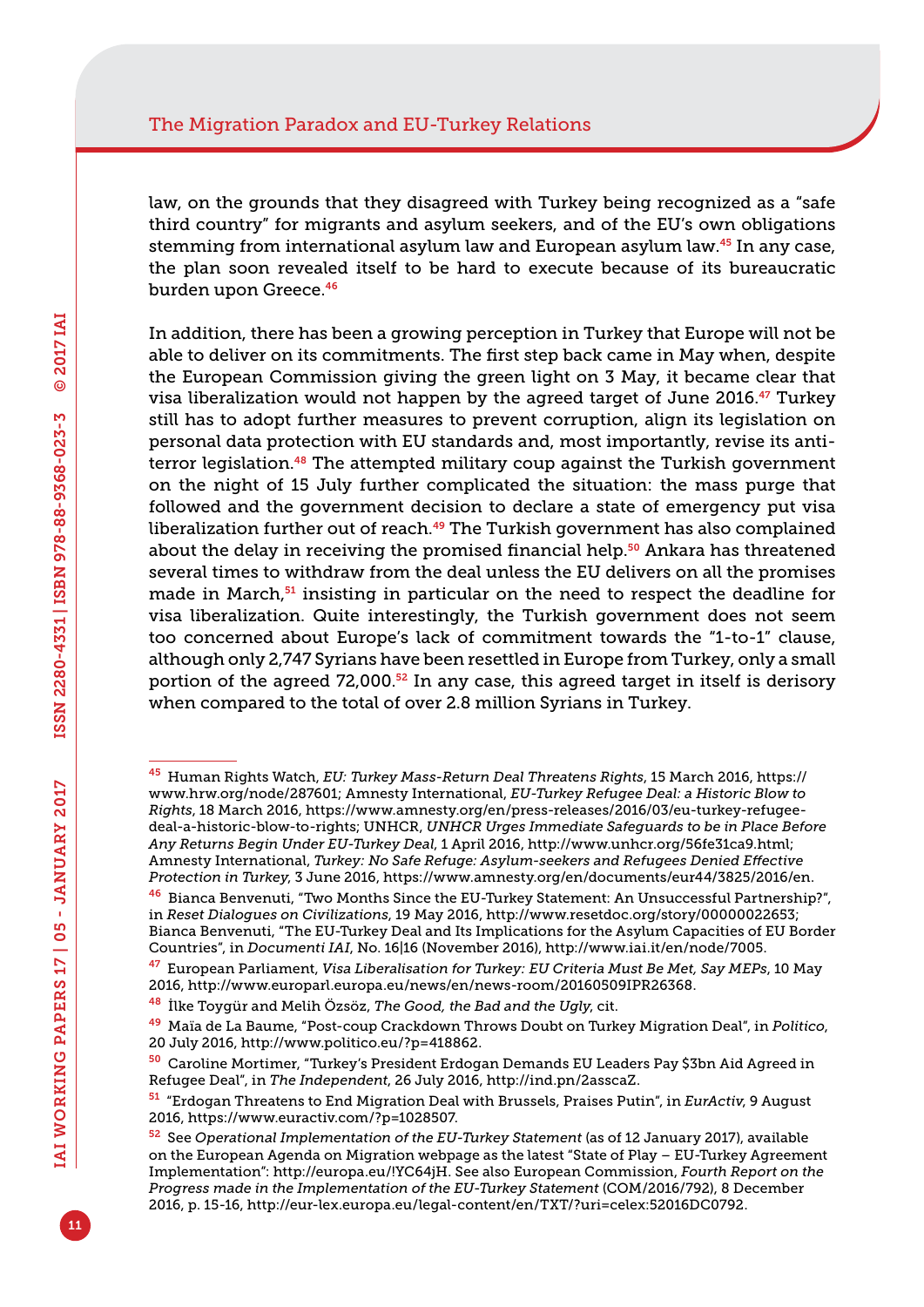law, on the grounds that they disagreed with Turkey being recognized as a "safe third country" for migrants and asylum seekers, and of the EU's own obligations stemming from international asylum law and European asylum law.45 In any case, the plan soon revealed itself to be hard to execute because of its bureaucratic burden upon Greece.<sup>46</sup>

In addition, there has been a growing perception in Turkey that Europe will not be able to deliver on its commitments. The first step back came in May when, despite the European Commission giving the green light on 3 May, it became clear that visa liberalization would not happen by the agreed target of June 2016.47 Turkey still has to adopt further measures to prevent corruption, align its legislation on personal data protection with EU standards and, most importantly, revise its antiterror legislation.<sup>48</sup> The attempted military coup against the Turkish government on the night of 15 July further complicated the situation: the mass purge that followed and the government decision to declare a state of emergency put visa liberalization further out of reach.<sup>49</sup> The Turkish government has also complained about the delay in receiving the promised financial help.<sup>50</sup> Ankara has threatened several times to withdraw from the deal unless the EU delivers on all the promises made in March, $51$  insisting in particular on the need to respect the deadline for visa liberalization. Quite interestingly, the Turkish government does not seem too concerned about Europe's lack of commitment towards the "1-to-1" clause, although only 2,747 Syrians have been resettled in Europe from Turkey, only a small portion of the agreed  $72,000$ .<sup>52</sup> In any case, this agreed target in itself is derisory when compared to the total of over 2.8 million Syrians in Turkey.

<sup>47</sup> European Parliament, *Visa Liberalisation for Turkey: EU Criteria Must Be Met, Say MEPs*, 10 May 2016,<http://www.europarl.europa.eu/news/en/news-room/20160509IPR26368>.

<sup>45</sup> Human Rights Watch, *EU: Turkey Mass-Return Deal Threatens Rights*, 15 March 2016, [https://](https://www.hrw.org/node/287601) [www.hrw.org/node/287601;](https://www.hrw.org/node/287601) Amnesty International, *EU-Turkey Refugee Deal: a Historic Blow to Rights*, 18 March 2016, [https://www.amnesty.org/en/press-releases/2016/03/eu-turkey-refugee](https://www.amnesty.org/en/press-releases/2016/03/eu-turkey-refugee-deal-a-historic-blow-to-rights)[deal-a-historic-blow-to-rights](https://www.amnesty.org/en/press-releases/2016/03/eu-turkey-refugee-deal-a-historic-blow-to-rights); UNHCR, *UNHCR Urges Immediate Safeguards to be in Place Before Any Returns Begin Under EU-Turkey Deal*, 1 April 2016, [http://www.unhcr.org/56fe31ca9.html;](http://www.unhcr.org/56fe31ca9.html) Amnesty International, *Turkey: No Safe Refuge: Asylum-seekers and Refugees Denied Effective Protection in Turkey*, 3 June 2016, [https://www.amnesty.org/en/documents/eur44/3825/2016/en.](https://www.amnesty.org/en/documents/eur44/3825/2016/en)

<sup>46</sup> Bianca Benvenuti, "Two Months Since the EU-Turkey Statement: An Unsuccessful Partnership?", in *Reset Dialogues on Civilizations*, 19 May 2016,<http://www.resetdoc.org/story/00000022653>; Bianca Benvenuti, "The EU-Turkey Deal and Its Implications for the Asylum Capacities of EU Border Countries", in *Documenti IAI*, No. 16|16 (November 2016), <http://www.iai.it/en/node/7005>.

<sup>48</sup> İlke Toygür and Melih Özsöz, *The Good, the Bad and the Ugly*, cit.

<sup>49</sup> Maïa de La Baume, "Post-coup Crackdown Throws Doubt on Turkey Migration Deal", in *Politico*, 20 July 2016, [http://www.politico.eu/?p=418862.](http://www.politico.eu/?p=418862)

<sup>50</sup> Caroline Mortimer, "Turkey's President Erdogan Demands EU Leaders Pay \$3bn Aid Agreed in Refugee Deal", in *The Independent*, 26 July 2016, <http://ind.pn/2asscaZ>.

<sup>51</sup> "Erdogan Threatens to End Migration Deal with Brussels, Praises Putin", in *EurActiv*, 9 August 2016, [https://www.euractiv.com/?p=1028507.](https://www.euractiv.com/?p=1028507)

<sup>52</sup> See *Operational Implementation of the EU-Turkey Statement* (as of 12 January 2017), available on the European Agenda on Migration webpage as the latest "State of Play – EU-Turkey Agreement Implementation": [http://europa.eu/!YC64jH.](http://europa.eu/!YC64jH) See also European Commission, *Fourth Report on the Progress made in the Implementation of the EU-Turkey Statement* (COM/2016/792), 8 December 2016, p. 15-16, [http://eur-lex.europa.eu/legal-content/en/TXT/?uri=celex:52016DC0792.](http://eur-lex.europa.eu/legal-content/en/TXT/?uri=celex:52016DC0792)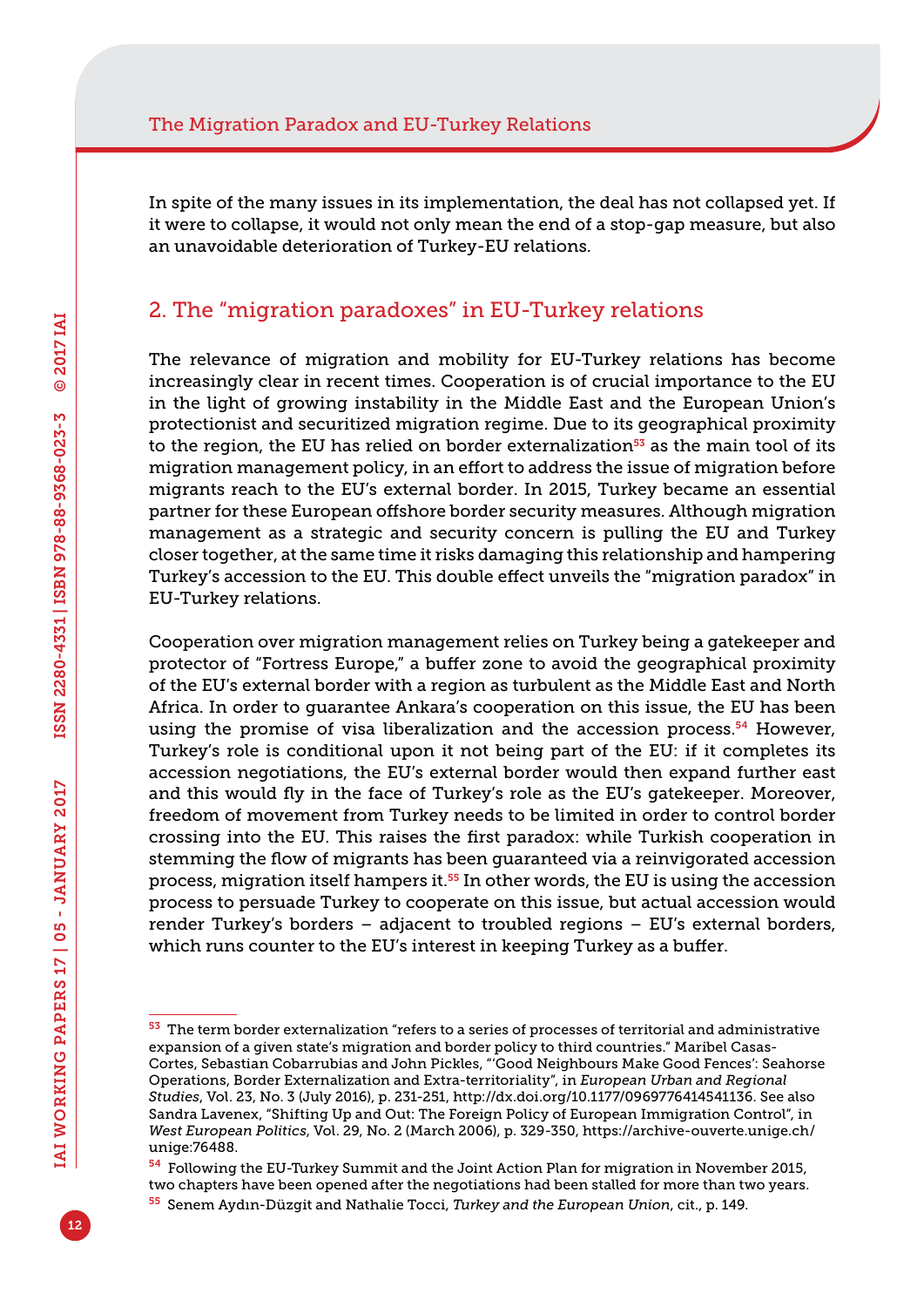In spite of the many issues in its implementation, the deal has not collapsed yet. If it were to collapse, it would not only mean the end of a stop-gap measure, but also an unavoidable deterioration of Turkey-EU relations.

#### 2. The "migration paradoxes" in EU-Turkey relations

The relevance of migration and mobility for EU-Turkey relations has become increasingly clear in recent times. Cooperation is of crucial importance to the EU in the light of growing instability in the Middle East and the European Union's protectionist and securitized migration regime. Due to its geographical proximity to the region, the EU has relied on border externalization $53$  as the main tool of its migration management policy, in an effort to address the issue of migration before migrants reach to the EU's external border. In 2015, Turkey became an essential partner for these European offshore border security measures. Although migration management as a strategic and security concern is pulling the EU and Turkey closer together, at the same time it risks damaging this relationship and hampering Turkey's accession to the EU. This double effect unveils the "migration paradox" in EU-Turkey relations.

Cooperation over migration management relies on Turkey being a gatekeeper and protector of "Fortress Europe," a buffer zone to avoid the geographical proximity of the EU's external border with a region as turbulent as the Middle East and North Africa. In order to guarantee Ankara's cooperation on this issue, the EU has been using the promise of visa liberalization and the accession process.<sup>54</sup> However, Turkey's role is conditional upon it not being part of the EU: if it completes its accession negotiations, the EU's external border would then expand further east and this would fly in the face of Turkey's role as the EU's gatekeeper. Moreover, freedom of movement from Turkey needs to be limited in order to control border crossing into the EU. This raises the first paradox: while Turkish cooperation in stemming the flow of migrants has been guaranteed via a reinvigorated accession process, migration itself hampers it.<sup>55</sup> In other words, the EU is using the accession process to persuade Turkey to cooperate on this issue, but actual accession would render Turkey's borders – adjacent to troubled regions – EU's external borders, which runs counter to the EU's interest in keeping Turkey as a buffer.

 $53$  The term border externalization "refers to a series of processes of territorial and administrative expansion of a given state's migration and border policy to third countries." Maribel Casas-Cortes, Sebastian Cobarrubias and John Pickles, "'Good Neighbours Make Good Fences': Seahorse Operations, Border Externalization and Extra-territoriality", in *European Urban and Regional Studies*, Vol. 23, No. 3 (July 2016), p. 231-251,<http://dx.doi.org/10.1177/0969776414541136>. See also Sandra Lavenex, "Shifting Up and Out: The Foreign Policy of European Immigration Control", in *West European Politics*, Vol. 29, No. 2 (March 2006), p. 329-350, [https://archive-ouverte.unige.ch/](https://archive-ouverte.unige.ch/unige:76488) [unige:76488](https://archive-ouverte.unige.ch/unige:76488).

<sup>54</sup> Following the EU-Turkey Summit and the Joint Action Plan for migration in November 2015, two chapters have been opened after the negotiations had been stalled for more than two years.

<sup>55</sup> Senem Aydın-Düzgit and Nathalie Tocci, *Turkey and the European Union*, cit., p. 149.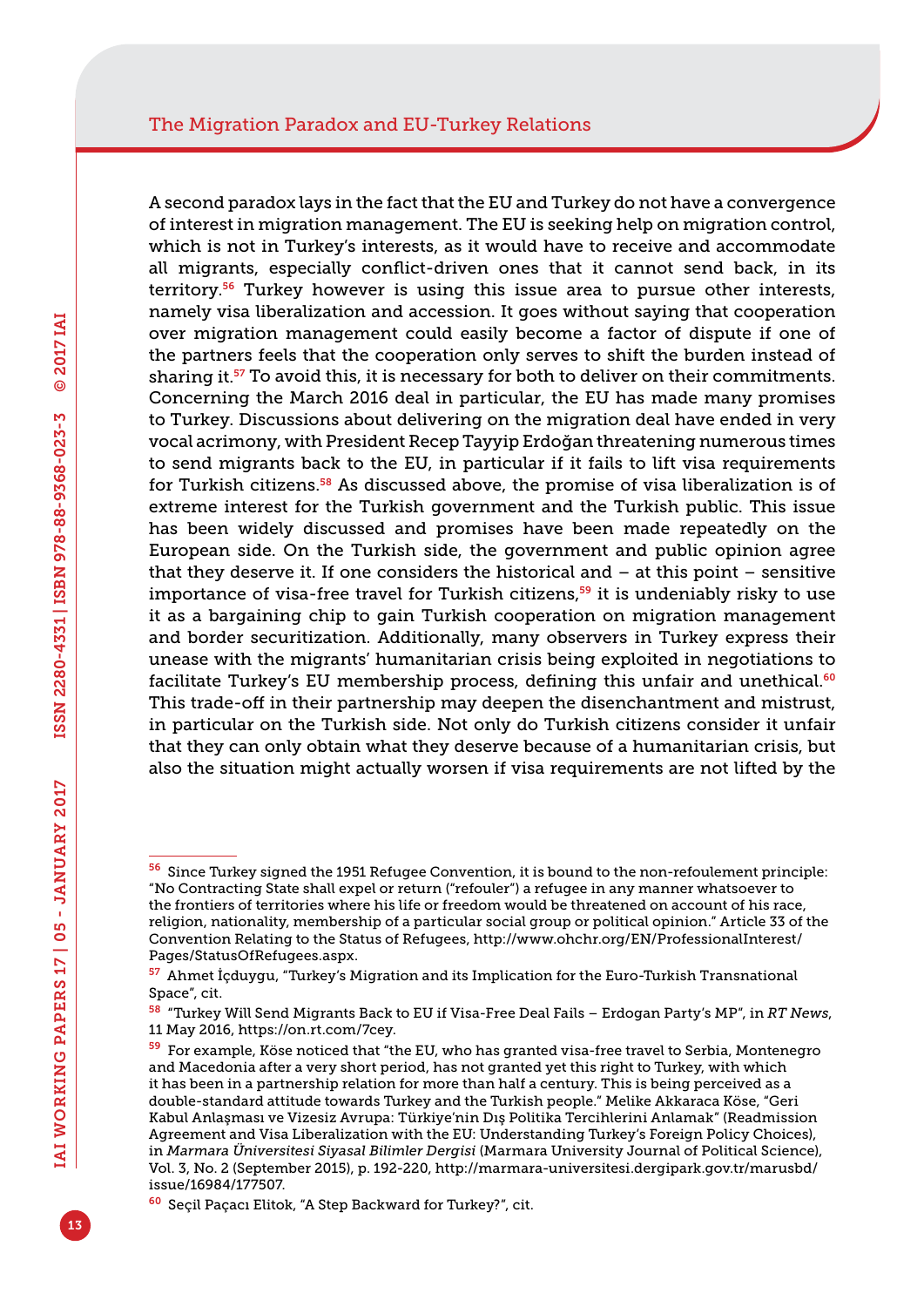A second paradox lays in the fact that the EU and Turkey do not have a convergence of interest in migration management. The EU is seeking help on migration control, which is not in Turkey's interests, as it would have to receive and accommodate all migrants, especially conflict-driven ones that it cannot send back, in its territory.<sup>56</sup> Turkey however is using this issue area to pursue other interests, namely visa liberalization and accession. It goes without saying that cooperation over migration management could easily become a factor of dispute if one of the partners feels that the cooperation only serves to shift the burden instead of sharing it.<sup>57</sup> To avoid this, it is necessary for both to deliver on their commitments. Concerning the March 2016 deal in particular, the EU has made many promises to Turkey. Discussions about delivering on the migration deal have ended in very vocal acrimony, with President Recep Tayyip Erdoğan threatening numerous times to send migrants back to the EU, in particular if it fails to lift visa requirements for Turkish citizens.58 As discussed above, the promise of visa liberalization is of extreme interest for the Turkish government and the Turkish public. This issue has been widely discussed and promises have been made repeatedly on the European side. On the Turkish side, the government and public opinion agree that they deserve it. If one considers the historical and  $-$  at this point  $-$  sensitive importance of visa-free travel for Turkish citizens, $59$  it is undeniably risky to use it as a bargaining chip to gain Turkish cooperation on migration management and border securitization. Additionally, many observers in Turkey express their unease with the migrants' humanitarian crisis being exploited in negotiations to facilitate Turkey's EU membership process, defining this unfair and unethical.<sup>60</sup> This trade-off in their partnership may deepen the disenchantment and mistrust, in particular on the Turkish side. Not only do Turkish citizens consider it unfair that they can only obtain what they deserve because of a humanitarian crisis, but also the situation might actually worsen if visa requirements are not lifted by the

<sup>56</sup> Since Turkey signed the 1951 Refugee Convention, it is bound to the non-refoulement principle: "No Contracting State shall expel or return ("refouler") a refugee in any manner whatsoever to the frontiers of territories where his life or freedom would be threatened on account of his race, religion, nationality, membership of a particular social group or political opinion." Article 33 of the Convention Relating to the Status of Refugees, [http://www.ohchr.org/EN/ProfessionalInterest/](http://www.ohchr.org/EN/ProfessionalInterest/Pages/StatusOfRefugees.aspx) [Pages/StatusOfRefugees.aspx](http://www.ohchr.org/EN/ProfessionalInterest/Pages/StatusOfRefugees.aspx).

<sup>57</sup> Ahmet İçduygu, "Turkey's Migration and its Implication for the Euro-Turkish Transnational Space", cit.

<sup>58</sup> "Turkey Will Send Migrants Back to EU if Visa-Free Deal Fails – Erdogan Party's MP", in *RT News*, 11 May 2016, <https://on.rt.com/7cey>.

<sup>59</sup> For example, Köse noticed that "the EU, who has granted visa-free travel to Serbia, Montenegro and Macedonia after a very short period, has not granted yet this right to Turkey, with which it has been in a partnership relation for more than half a century. This is being perceived as a double-standard attitude towards Turkey and the Turkish people." Melike Akkaraca Köse, "Geri Kabul Anlaşması ve Vizesiz Avrupa: Türkiye'nin Dış Politika Tercihlerini Anlamak" (Readmission Agreement and Visa Liberalization with the EU: Understanding Turkey's Foreign Policy Choices), in *Marmara Üniversitesi Siyasal Bilimler Dergisi* (Marmara University Journal of Political Science), Vol. 3, No. 2 (September 2015), p. 192-220, [http://marmara-universitesi.dergipark.gov.tr/marusbd/](http://marmara-universitesi.dergipark.gov.tr/marusbd/issue/16984/177507) [issue/16984/177507.](http://marmara-universitesi.dergipark.gov.tr/marusbd/issue/16984/177507)

<sup>60</sup> Seçil Paçacı Elitok, "A Step Backward for Turkey?", cit.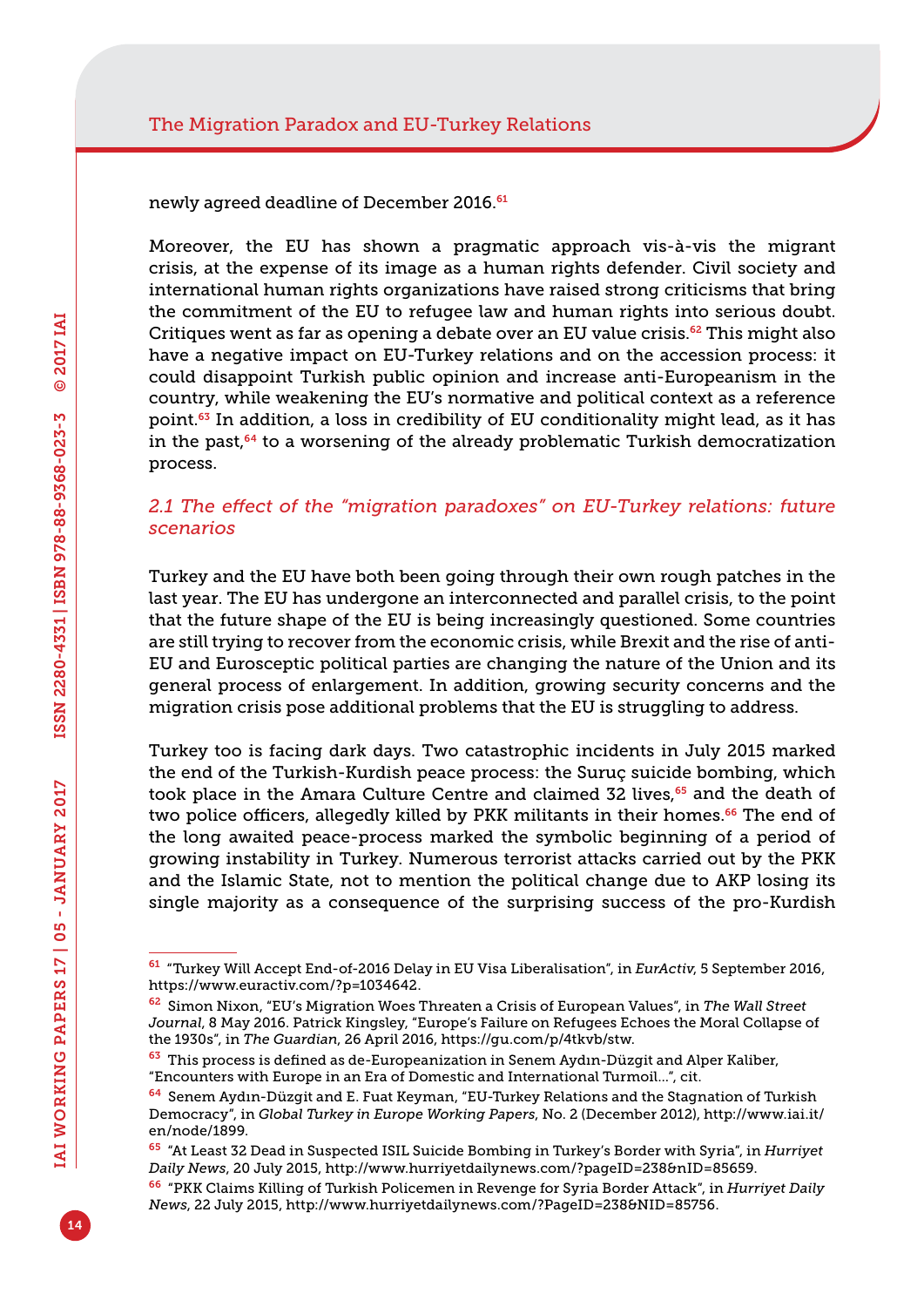newly agreed deadline of December 2016.<sup>61</sup>

Moreover, the EU has shown a pragmatic approach vis-à-vis the migrant crisis, at the expense of its image as a human rights defender. Civil society and international human rights organizations have raised strong criticisms that bring the commitment of the EU to refugee law and human rights into serious doubt. Critiques went as far as opening a debate over an EU value crisis.<sup>62</sup> This might also have a negative impact on EU-Turkey relations and on the accession process: it could disappoint Turkish public opinion and increase anti-Europeanism in the country, while weakening the EU's normative and political context as a reference point.<sup>63</sup> In addition, a loss in credibility of EU conditionality might lead, as it has in the past, $64$  to a worsening of the already problematic Turkish democratization process.

#### *2.1 The effect of the "migration paradoxes" on EU-Turkey relations: future scenarios*

Turkey and the EU have both been going through their own rough patches in the last year. The EU has undergone an interconnected and parallel crisis, to the point that the future shape of the EU is being increasingly questioned. Some countries are still trying to recover from the economic crisis, while Brexit and the rise of anti-EU and Eurosceptic political parties are changing the nature of the Union and its general process of enlargement. In addition, growing security concerns and the migration crisis pose additional problems that the EU is struggling to address.

Turkey too is facing dark days. Two catastrophic incidents in July 2015 marked the end of the Turkish-Kurdish peace process: the Suruç suicide bombing, which took place in the Amara Culture Centre and claimed 32 lives,<sup>65</sup> and the death of two police officers, allegedly killed by PKK militants in their homes.<sup>66</sup> The end of the long awaited peace-process marked the symbolic beginning of a period of growing instability in Turkey. Numerous terrorist attacks carried out by the PKK and the Islamic State, not to mention the political change due to AKP losing its single majority as a consequence of the surprising success of the pro-Kurdish

<sup>61</sup> "Turkey Will Accept End-of-2016 Delay in EU Visa Liberalisation", in *EurActiv*, 5 September 2016, [https://www.euractiv.com/?p=1034642.](https://www.euractiv.com/?p=1034642)

<sup>62</sup> Simon Nixon, "EU's Migration Woes Threaten a Crisis of European Values", in *The Wall Street Journal*, 8 May 2016. Patrick Kingsley, "Europe's Failure on Refugees Echoes the Moral Collapse of the 1930s", in *The Guardian*, 26 April 2016, [https://gu.com/p/4tkvb/stw.](https://gu.com/p/4tkvb/stw)

<sup>&</sup>lt;sup>63</sup> This process is defined as de-Europeanization in Senem Aydın-Düzgit and Alper Kaliber, "Encounters with Europe in an Era of Domestic and International Turmoil…", cit.

<sup>64</sup> Senem Aydın-Düzgit and E. Fuat Keyman, "EU-Turkey Relations and the Stagnation of Turkish Democracy", in *Global Turkey in Europe Working Papers*, No. 2 (December 2012), [http://www.iai.it/](http://www.iai.it/en/node/1899) [en/node/1899.](http://www.iai.it/en/node/1899)

<sup>65</sup> "At Least 32 Dead in Suspected ISIL Suicide Bombing in Turkey's Border with Syria", in *Hurriyet Daily News*, 20 July 2015, [http://www.hurriyetdailynews.com/?pageID=238&nID=85659.](http://www.hurriyetdailynews.com/?pageID=238&nID=85659)

<sup>66</sup> "PKK Claims Killing of Turkish Policemen in Revenge for Syria Border Attack", in *Hurriyet Daily News*, 22 July 2015, [http://www.hurriyetdailynews.com/?PageID=238&NID=85756.](http://www.hurriyetdailynews.com/?PageID=238&NID=85756)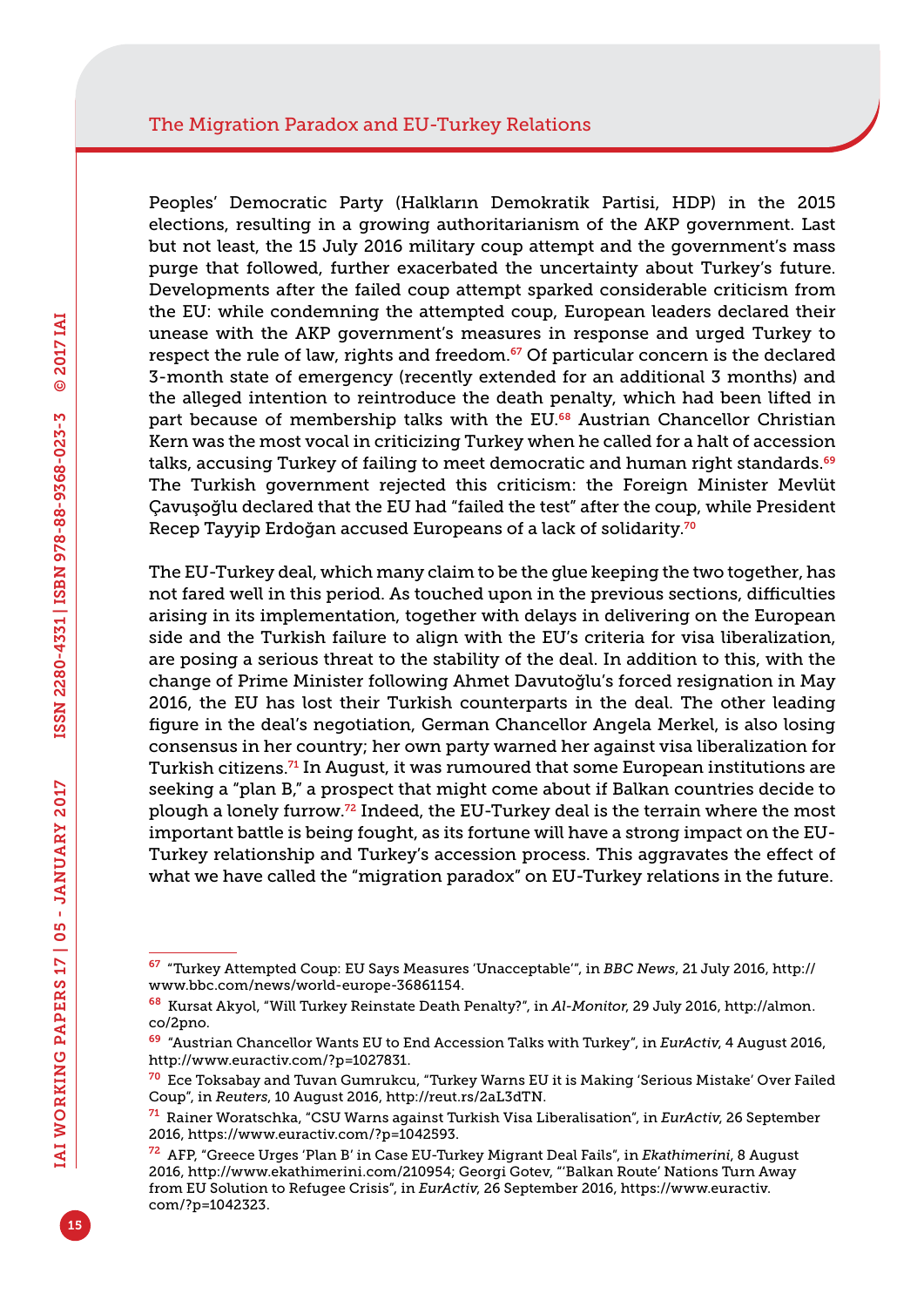Peoples' Democratic Party (Halkların Demokratik Partisi, HDP) in the 2015 elections, resulting in a growing authoritarianism of the AKP government. Last but not least, the 15 July 2016 military coup attempt and the government's mass purge that followed, further exacerbated the uncertainty about Turkey's future. Developments after the failed coup attempt sparked considerable criticism from the EU: while condemning the attempted coup, European leaders declared their unease with the AKP government's measures in response and urged Turkey to respect the rule of law, rights and freedom.<sup>67</sup> Of particular concern is the declared 3-month state of emergency (recently extended for an additional 3 months) and the alleged intention to reintroduce the death penalty, which had been lifted in part because of membership talks with the EU.<sup>68</sup> Austrian Chancellor Christian Kern was the most vocal in criticizing Turkey when he called for a halt of accession talks, accusing Turkey of failing to meet democratic and human right standards.<sup>69</sup> The Turkish government rejected this criticism: the Foreign Minister Mevlüt Çavuşoğlu declared that the EU had "failed the test" after the coup, while President Recep Tayyip Erdoğan accused Europeans of a lack of solidarity.<sup>70</sup>

The EU-Turkey deal, which many claim to be the glue keeping the two together, has not fared well in this period. As touched upon in the previous sections, difficulties arising in its implementation, together with delays in delivering on the European side and the Turkish failure to align with the EU's criteria for visa liberalization, are posing a serious threat to the stability of the deal. In addition to this, with the change of Prime Minister following Ahmet Davutoğlu's forced resignation in May 2016, the EU has lost their Turkish counterparts in the deal. The other leading figure in the deal's negotiation, German Chancellor Angela Merkel, is also losing consensus in her country; her own party warned her against visa liberalization for Turkish citizens.71 In August, it was rumoured that some European institutions are seeking a "plan B," a prospect that might come about if Balkan countries decide to plough a lonely furrow.72 Indeed, the EU-Turkey deal is the terrain where the most important battle is being fought, as its fortune will have a strong impact on the EU-Turkey relationship and Turkey's accession process. This aggravates the effect of what we have called the "migration paradox" on EU-Turkey relations in the future.

<sup>67</sup> "Turkey Attempted Coup: EU Says Measures 'Unacceptable'", in *BBC News*, 21 July 2016, [http://](http://www.bbc.com/news/world-europe-36861154) [www.bbc.com/news/world-europe-36861154](http://www.bbc.com/news/world-europe-36861154).

<sup>68</sup> Kursat Akyol, "Will Turkey Reinstate Death Penalty?", in *Al-Monitor*, 29 July 2016, [http://almon.](http://almon.co/2pno) [co/2pno.](http://almon.co/2pno)

<sup>69</sup> "Austrian Chancellor Wants EU to End Accession Talks with Turkey", in *EurActiv*, 4 August 2016, [http://www.euractiv.com/?p=1027831.](http://www.euractiv.com/?p=1027831)

<sup>70</sup> Ece Toksabay and Tuvan Gumrukcu, "Turkey Warns EU it is Making 'Serious Mistake' Over Failed Coup", in *Reuters*, 10 August 2016, [http://reut.rs/2aL3dTN.](http://reut.rs/2aL3dTN)

<sup>71</sup> Rainer Woratschka, "CSU Warns against Turkish Visa Liberalisation", in *EurActiv*, 26 September 2016, [https://www.euractiv.com/?p=1042593.](https://www.euractiv.com/?p=1042593)

<sup>72</sup> AFP, "Greece Urges 'Plan B' in Case EU-Turkey Migrant Deal Fails", in *Ekathimerini*, 8 August 2016, [http://www.ekathimerini.com/210954;](http://www.ekathimerini.com/210954) Georgi Gotev, "'Balkan Route' Nations Turn Away from EU Solution to Refugee Crisis", in *EurActiv*, 26 September 2016, [https://www.euractiv.](https://www.euractiv.com/?p=1042323) [com/?p=1042323.](https://www.euractiv.com/?p=1042323)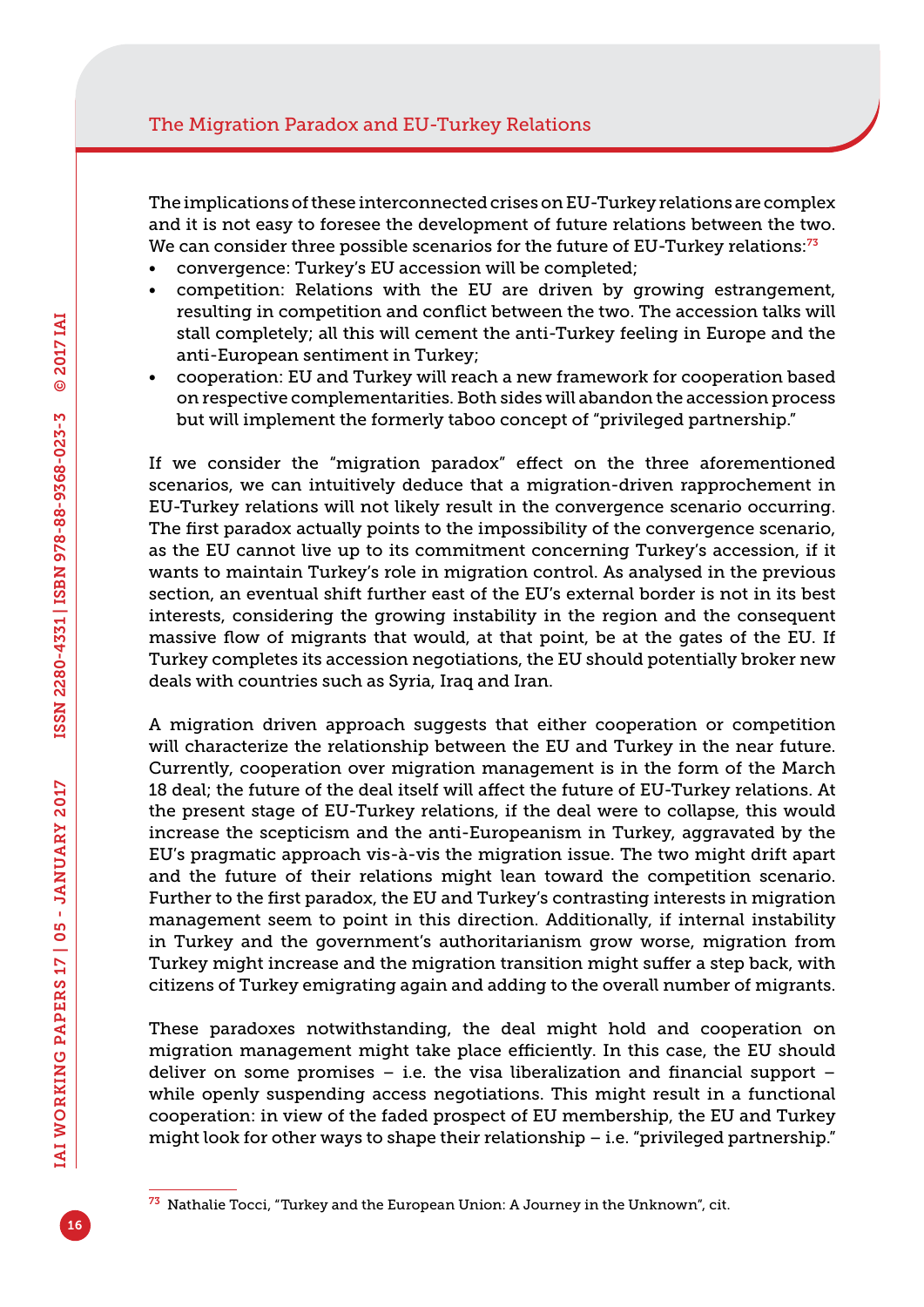The implications of these interconnected crises on EU-Turkey relations are complex and it is not easy to foresee the development of future relations between the two. We can consider three possible scenarios for the future of EU-Turkey relations:<sup>73</sup>

- convergence: Turkey's EU accession will be completed;
- competition: Relations with the EU are driven by growing estrangement, resulting in competition and conflict between the two. The accession talks will stall completely; all this will cement the anti-Turkey feeling in Europe and the anti-European sentiment in Turkey;
- cooperation: EU and Turkey will reach a new framework for cooperation based on respective complementarities. Both sides will abandon the accession process but will implement the formerly taboo concept of "privileged partnership."

If we consider the "migration paradox" effect on the three aforementioned scenarios, we can intuitively deduce that a migration-driven rapprochement in EU-Turkey relations will not likely result in the convergence scenario occurring. The first paradox actually points to the impossibility of the convergence scenario, as the EU cannot live up to its commitment concerning Turkey's accession, if it wants to maintain Turkey's role in migration control. As analysed in the previous section, an eventual shift further east of the EU's external border is not in its best interests, considering the growing instability in the region and the consequent massive flow of migrants that would, at that point, be at the gates of the EU. If Turkey completes its accession negotiations, the EU should potentially broker new deals with countries such as Syria, Iraq and Iran.

A migration driven approach suggests that either cooperation or competition will characterize the relationship between the EU and Turkey in the near future. Currently, cooperation over migration management is in the form of the March 18 deal; the future of the deal itself will affect the future of EU-Turkey relations. At the present stage of EU-Turkey relations, if the deal were to collapse, this would increase the scepticism and the anti-Europeanism in Turkey, aggravated by the EU's pragmatic approach vis-à-vis the migration issue. The two might drift apart and the future of their relations might lean toward the competition scenario. Further to the first paradox, the EU and Turkey's contrasting interests in migration management seem to point in this direction. Additionally, if internal instability in Turkey and the government's authoritarianism grow worse, migration from Turkey might increase and the migration transition might suffer a step back, with citizens of Turkey emigrating again and adding to the overall number of migrants.

These paradoxes notwithstanding, the deal might hold and cooperation on migration management might take place efficiently. In this case, the EU should deliver on some promises – i.e. the visa liberalization and financial support – while openly suspending access negotiations. This might result in a functional cooperation: in view of the faded prospect of EU membership, the EU and Turkey might look for other ways to shape their relationship – i.e. "privileged partnership."

 $73$  Nathalie Tocci, "Turkey and the European Union: A Journey in the Unknown", cit.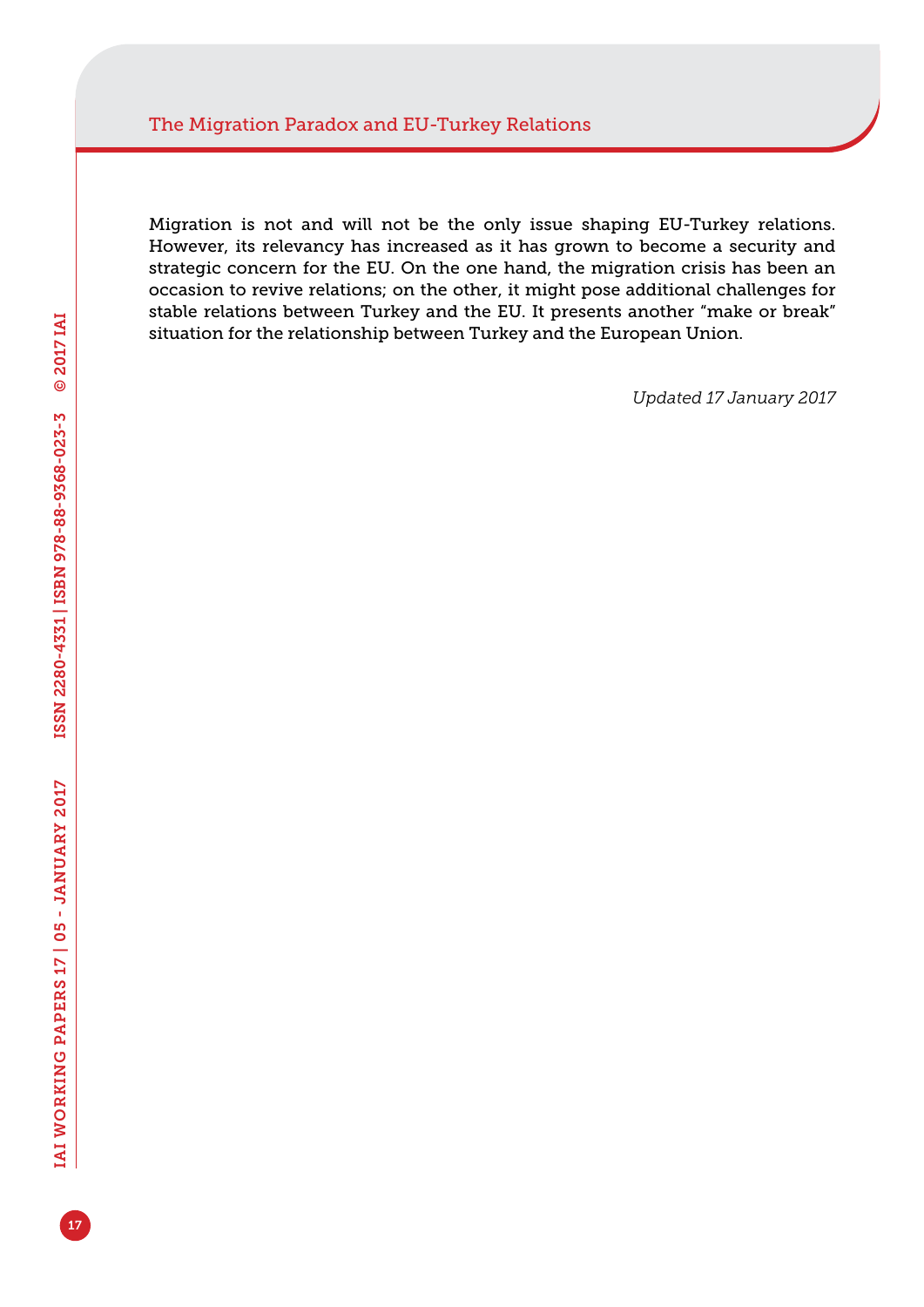Migration is not and will not be the only issue shaping EU-Turkey relations. However, its relevancy has increased as it has grown to become a security and strategic concern for the EU. On the one hand, the migration crisis has been an occasion to revive relations; on the other, it might pose additional challenges for stable relations between Turkey and the EU. It presents another "make or break" situation for the relationship between Turkey and the European Union.

*Updated 17 January 2017*

17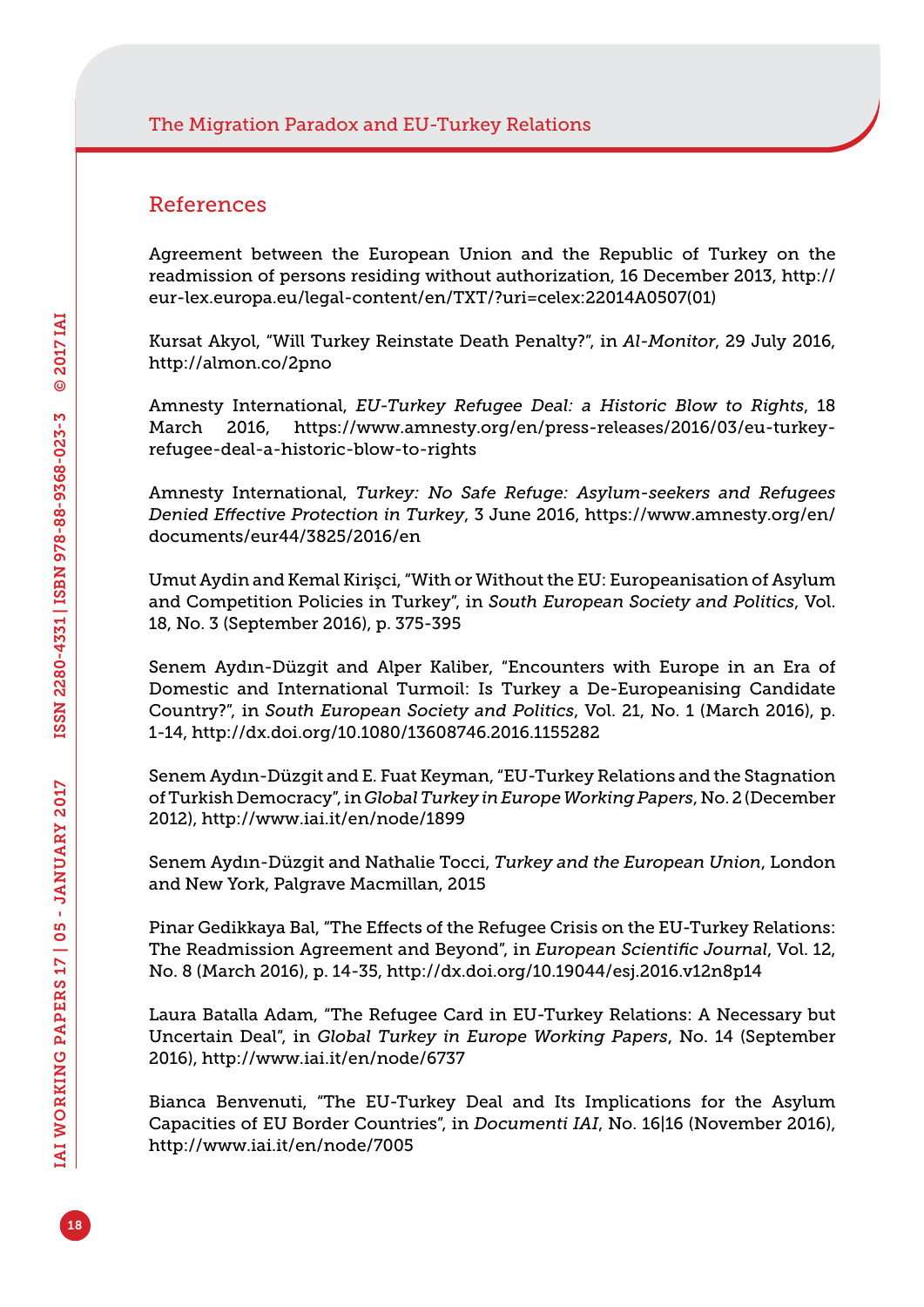#### References

Agreement between the European Union and the Republic of Turkey on the readmission of persons residing without authorization, 16 December 2013, [http://](http://eur-lex.europa.eu/legal-content/en/TXT/?uri=celex:22014A0507) [eur-lex.europa.eu/legal-content/en/TXT/?uri=celex:22014A0507\(](http://eur-lex.europa.eu/legal-content/en/TXT/?uri=celex:22014A0507)01)

Kursat Akyol, "Will Turkey Reinstate Death Penalty?", in *Al-Monitor*, 29 July 2016, <http://almon.co/2pno>

Amnesty International, *EU-Turkey Refugee Deal: a Historic Blow to Rights*, 18 March 2016, [https://www.amnesty.org/en/press-releases/2016/03/eu-turkey](https://www.amnesty.org/en/press-releases/2016/03/eu-turkey-refugee-deal-a-historic-blow-to-rights)[refugee-deal-a-historic-blow-to-rights](https://www.amnesty.org/en/press-releases/2016/03/eu-turkey-refugee-deal-a-historic-blow-to-rights)

Amnesty International, *Turkey: No Safe Refuge: Asylum-seekers and Refugees Denied Effective Protection in Turkey*, 3 June 2016, [https://www.amnesty.org/en/](https://www.amnesty.org/en/documents/eur44/3825/2016/en) [documents/eur44/3825/2016/en](https://www.amnesty.org/en/documents/eur44/3825/2016/en)

Umut Aydin and Kemal Kirişci, "With or Without the EU: Europeanisation of Asylum and Competition Policies in Turkey", in *South European Society and Politics*, Vol. 18, No. 3 (September 2016), p. 375-395

Senem Aydın-Düzgit and Alper Kaliber, "Encounters with Europe in an Era of Domestic and International Turmoil: Is Turkey a De-Europeanising Candidate Country?", in *South European Society and Politics*, Vol. 21, No. 1 (March 2016), p. 1-14, <http://dx.doi.org/10.1080/13608746.2016.1155282>

Senem Aydın-Düzgit and E. Fuat Keyman, "EU-Turkey Relations and the Stagnation of Turkish Democracy", in *Global Turkey in Europe Working Papers*, No. 2 (December 2012), <http://www.iai.it/en/node/1899>

Senem Aydın-Düzgit and Nathalie Tocci, *Turkey and the European Union*, London and New York, Palgrave Macmillan, 2015

Pinar Gedikkaya Bal, "The Effects of the Refugee Crisis on the EU-Turkey Relations: The Readmission Agreement and Beyond", in *European Scientific Journal*, Vol. 12, No. 8 (March 2016), p. 14-35,<http://dx.doi.org/10.19044/esj.2016.v12n8p14>

Laura Batalla Adam, "The Refugee Card in EU-Turkey Relations: A Necessary but Uncertain Deal", in *Global Turkey in Europe Working Papers*, No. 14 (September 2016),<http://www.iai.it/en/node/6737>

Bianca Benvenuti, "The EU-Turkey Deal and Its Implications for the Asylum Capacities of EU Border Countries", in *Documenti IAI*, No. 16|16 (November 2016), <http://www.iai.it/en/node/7005>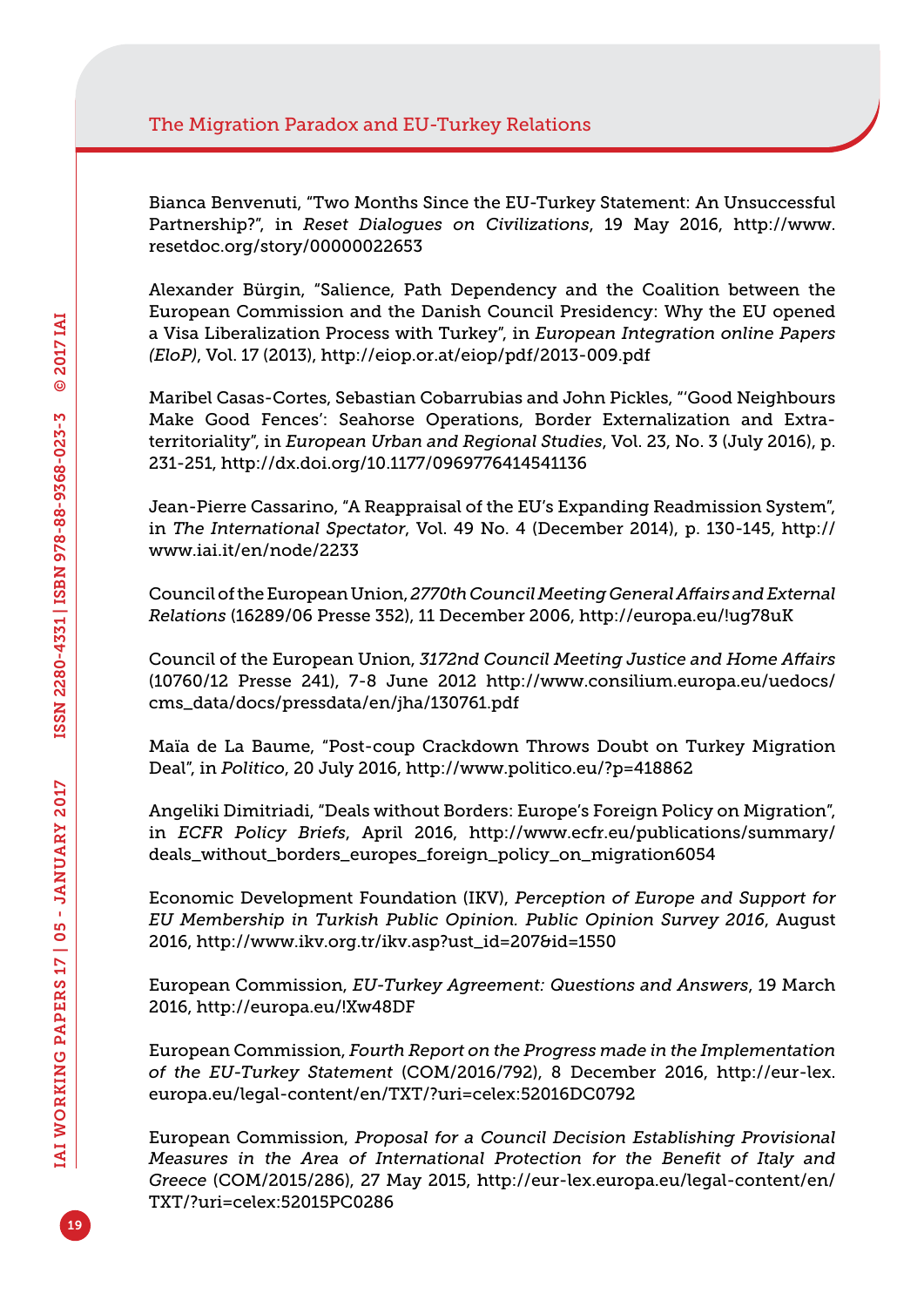Bianca Benvenuti, "Two Months Since the EU-Turkey Statement: An Unsuccessful Partnership?", in *Reset Dialogues on Civilizations*, 19 May 2016, [http://www.](http://www.resetdoc.org/story/00000022653) [resetdoc.org/story/00000022653](http://www.resetdoc.org/story/00000022653)

Alexander Bürgin, "Salience, Path Dependency and the Coalition between the European Commission and the Danish Council Presidency: Why the EU opened a Visa Liberalization Process with Turkey", in *European Integration online Papers (EloP)*, Vol. 17 (2013), <http://eiop.or.at/eiop/pdf/2013-009.pdf>

Maribel Casas-Cortes, Sebastian Cobarrubias and John Pickles, "'Good Neighbours Make Good Fences': Seahorse Operations, Border Externalization and Extraterritoriality", in *European Urban and Regional Studies*, Vol. 23, No. 3 (July 2016), p. 231-251, <http://dx.doi.org/10.1177/0969776414541136>

Jean-Pierre Cassarino, "A Reappraisal of the EU's Expanding Readmission System", in *The International Spectator*, Vol. 49 No. 4 (December 2014), p. 130-145, [http://](http://www.iai.it/en/node/2233) [www.iai.it/en/node/2233](http://www.iai.it/en/node/2233)

Council of the European Union, *2770th Council Meeting General Affairs and External Relations* (16289/06 Presse 352), 11 December 2006,<http://europa.eu/!ug78uK>

Council of the European Union, *3172nd Council Meeting Justice and Home Affairs*  (10760/12 Presse 241), 7-8 June 2012 [http://www.consilium.europa.eu/uedocs/](http://www.consilium.europa.eu/uedocs/cms_data/docs/pressdata/en/jha/130761.pdf) [cms\\_data/docs/pressdata/en/jha/130761.pdf](http://www.consilium.europa.eu/uedocs/cms_data/docs/pressdata/en/jha/130761.pdf)

Maïa de La Baume, "Post-coup Crackdown Throws Doubt on Turkey Migration Deal", in *Politico*, 20 July 2016, <http://www.politico.eu/?p=418862>

Angeliki Dimitriadi, "Deals without Borders: Europe's Foreign Policy on Migration", in *ECFR Policy Briefs*, April 2016, [http://www.ecfr.eu/publications/summary/](http://www.ecfr.eu/publications/summary/deals_without_borders_europes_foreign_policy_on_migration6054) [deals\\_without\\_borders\\_europes\\_foreign\\_policy\\_on\\_migration6054](http://www.ecfr.eu/publications/summary/deals_without_borders_europes_foreign_policy_on_migration6054)

Economic Development Foundation (IKV), *Perception of Europe and Support for EU Membership in Turkish Public Opinion. Public Opinion Survey 2016*, August 2016, [http://www.ikv.org.tr/ikv.asp?ust\\_id=207&id=1550](http://www.ikv.org.tr/ikv.asp?ust_id=207&id=1550)

European Commission, *EU-Turkey Agreement: Questions and Answers*, 19 March 2016, <http://europa.eu/!Xw48DF>

European Commission, *Fourth Report on the Progress made in the Implementation of the EU-Turkey Statement* (COM/2016/792), 8 December 2016, [http://eur-lex.](http://eur-lex.europa.eu/legal-content/en/TXT/?uri=celex:52016DC0792) [europa.eu/legal-content/en/TXT/?uri=celex:52016DC0792](http://eur-lex.europa.eu/legal-content/en/TXT/?uri=celex:52016DC0792)

European Commission, *Proposal for a Council Decision Establishing Provisional Measures in the Area of International Protection for the Benefit of Italy and Greece* (COM/2015/286), 27 May 2015, [http://eur-lex.europa.eu/legal-content/en/](http://eur-lex.europa.eu/legal-content/en/TXT/?uri=celex:52015PC0286) [TXT/?uri=celex:52015PC0286](http://eur-lex.europa.eu/legal-content/en/TXT/?uri=celex:52015PC0286) 

19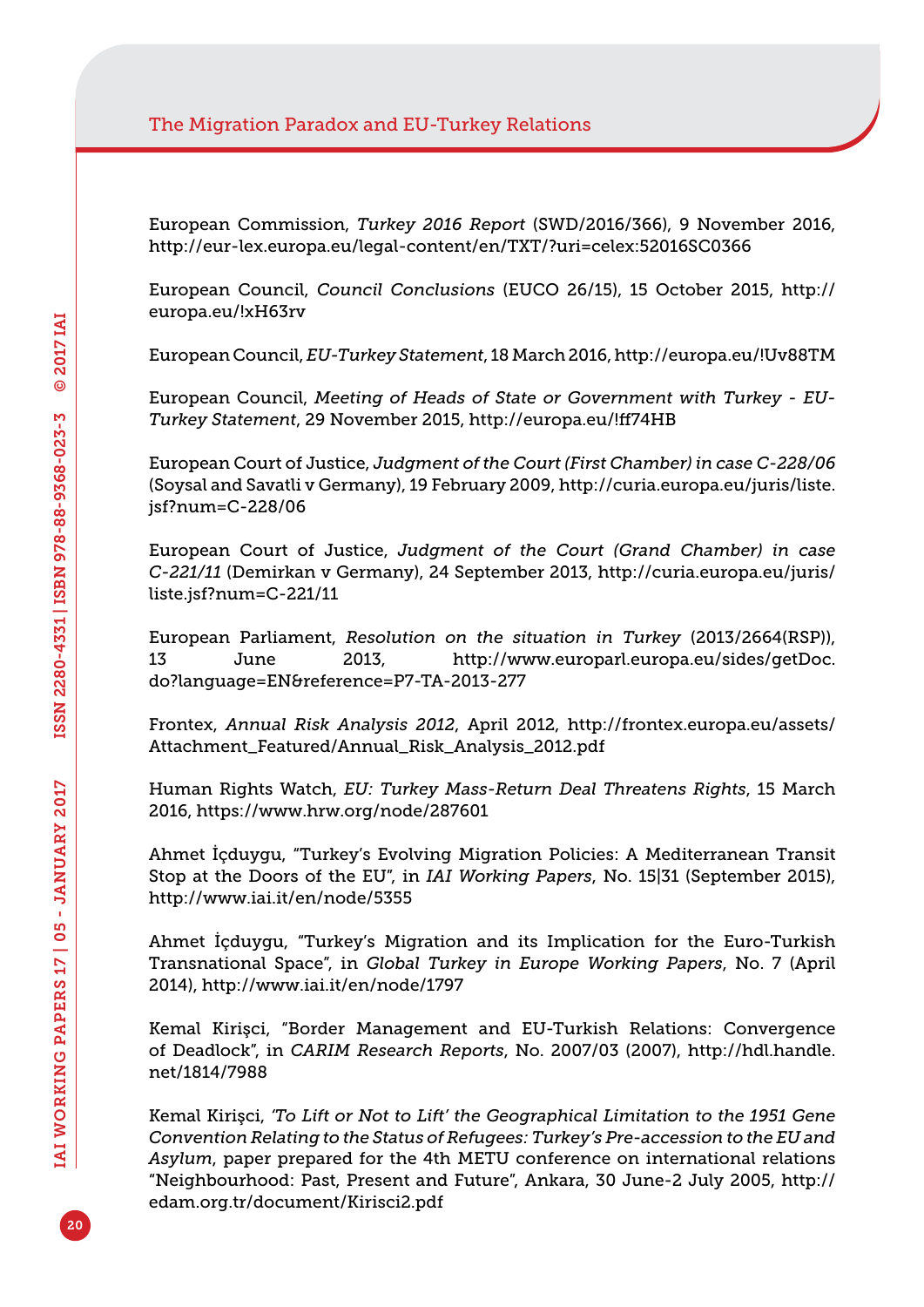European Commission, *Turkey 2016 Report* (SWD/2016/366), 9 November 2016, <http://eur-lex.europa.eu/legal-content/en/TXT/?uri=celex:52016SC0366>

European Council, *Council Conclusions* (EUCO 26/15), 15 October 2015, [http://](http://europa.eu/!xH63rv) [europa.eu/!xH63rv](http://europa.eu/!xH63rv)

European Council, *EU-Turkey Statement*, 18 March 2016,<http://europa.eu/!Uv88TM>

European Council, *Meeting of Heads of State or Government with Turkey - EU-Turkey Statement*, 29 November 2015,<http://europa.eu/!ff74HB>

European Court of Justice, *Judgment of the Court (First Chamber) in case C-228/06*  (Soysal and Savatli v Germany), 19 February 2009, [http://curia.europa.eu/juris/liste.](http://curia.europa.eu/juris/liste.jsf?num=C-228/06) [jsf?num=C-228/06](http://curia.europa.eu/juris/liste.jsf?num=C-228/06)

European Court of Justice, *Judgment of the Court (Grand Chamber) in case C-221/11* (Demirkan v Germany), 24 September 2013, [http://curia.europa.eu/juris/](http://curia.europa.eu/juris/liste.jsf?num=C-221/11) [liste.jsf?num=C-221/11](http://curia.europa.eu/juris/liste.jsf?num=C-221/11)

European Parliament, *Resolution on the situation in Turkey* (2013/2664(RSP)), 13 June 2013, [http://www.europarl.europa.eu/sides/getDoc.](http://www.europarl.europa.eu/sides/getDoc.do?language=EN&reference=P7-TA-2013-277) [do?language=EN&reference=P7-TA-2013-277](http://www.europarl.europa.eu/sides/getDoc.do?language=EN&reference=P7-TA-2013-277)

Frontex, *Annual Risk Analysis 2012*, April 2012, [http://frontex.europa.eu/assets/](http://frontex.europa.eu/assets/Attachment_Featured/Annual_Risk_Analysis_2012.pdf) [Attachment\\_Featured/Annual\\_Risk\\_Analysis\\_2012.pdf](http://frontex.europa.eu/assets/Attachment_Featured/Annual_Risk_Analysis_2012.pdf)

Human Rights Watch, *EU: Turkey Mass-Return Deal Threatens Rights*, 15 March 2016, <https://www.hrw.org/node/287601>

Ahmet İçduygu, "Turkey's Evolving Migration Policies: A Mediterranean Transit Stop at the Doors of the EU", in *IAI Working Papers*, No. 15|31 (September 2015), <http://www.iai.it/en/node/5355>

Ahmet İçduygu, "Turkey's Migration and its Implication for the Euro-Turkish Transnational Space", in *Global Turkey in Europe Working Papers*, No. 7 (April 2014),<http://www.iai.it/en/node/1797>

Kemal Kirişci, "Border Management and EU-Turkish Relations: Convergence of Deadlock", in *CARIM Research Reports*, No. 2007/03 (2007), [http://hdl.handle.](http://hdl.handle.net/1814/7988) [net/1814/7988](http://hdl.handle.net/1814/7988)

Kemal Kirişci, *'To Lift or Not to Lift' the Geographical Limitation to the 1951 Gene Convention Relating to the Status of Refugees: Turkey's Pre-accession to the EU and Asylum*, paper prepared for the 4th METU conference on international relations "Neighbourhood: Past, Present and Future", Ankara, 30 June-2 July 2005, [http://](http://edam.org.tr/document/Kirisci2.pdf) [edam.org.tr/document/Kirisci2.pdf](http://edam.org.tr/document/Kirisci2.pdf)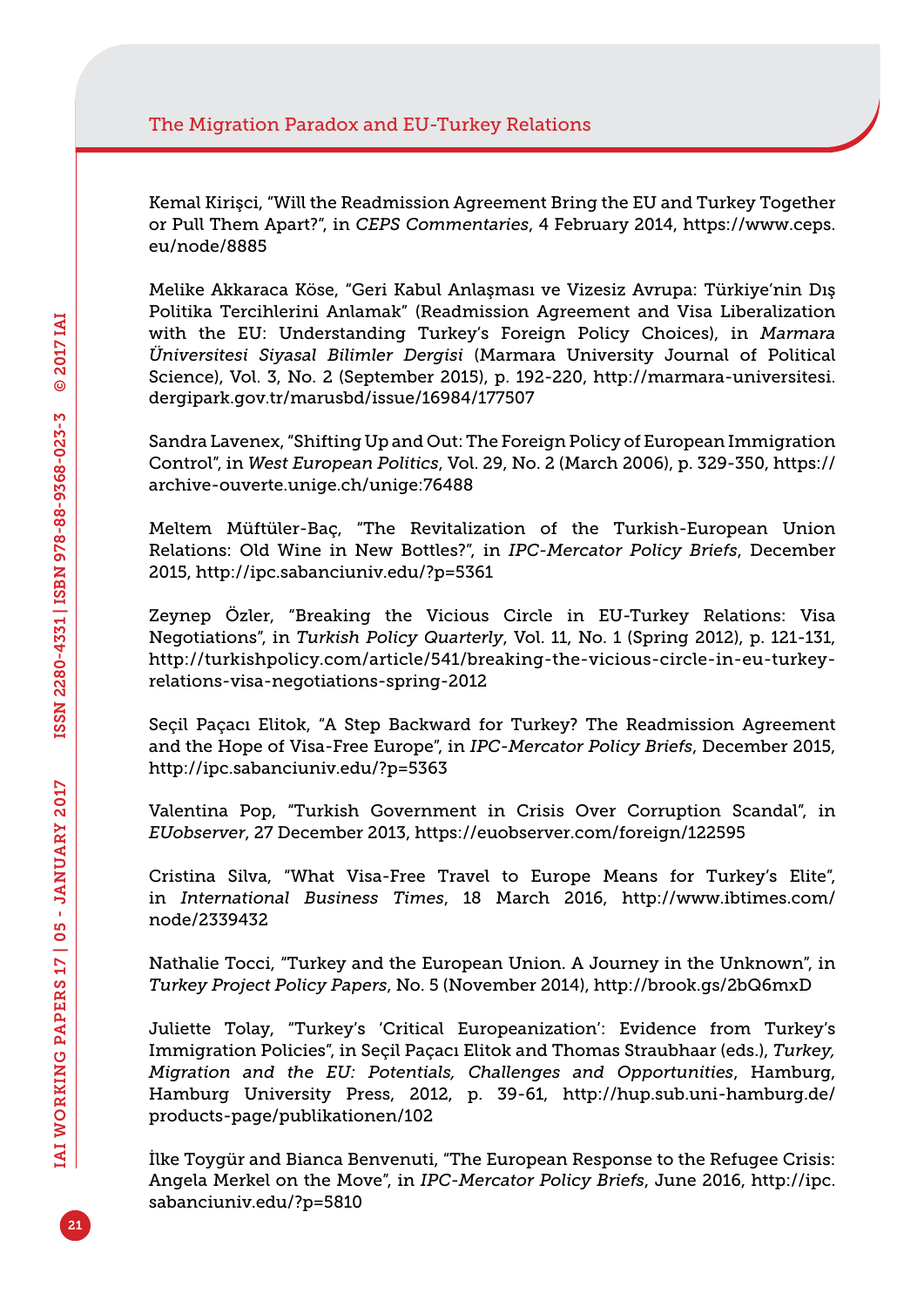Kemal Kirişci, "Will the Readmission Agreement Bring the EU and Turkey Together or Pull Them Apart?", in *CEPS Commentaries*, 4 February 2014, [https://www.ceps.](https://www.ceps.eu/node/8885) [eu/node/8885](https://www.ceps.eu/node/8885)

Melike Akkaraca Köse, "Geri Kabul Anlaşması ve Vizesiz Avrupa: Türkiye'nin Dış Politika Tercihlerini Anlamak" (Readmission Agreement and Visa Liberalization with the EU: Understanding Turkey's Foreign Policy Choices), in *Marmara Üniversitesi Siyasal Bilimler Dergisi* (Marmara University Journal of Political Science), Vol. 3, No. 2 (September 2015), p. 192-220, [http://marmara-universitesi.](http://marmara-universitesi.dergipark.gov.tr/marusbd/issue/16984/177507) [dergipark.gov.tr/marusbd/issue/16984/177507](http://marmara-universitesi.dergipark.gov.tr/marusbd/issue/16984/177507)

Sandra Lavenex, "Shifting Up and Out: The Foreign Policy of European Immigration Control", in *West European Politics*, Vol. 29, No. 2 (March 2006), p. 329-350, [https://](https://archive-ouverte.unige.ch/unige:76488) [archive-ouverte.unige.ch/unige:76488](https://archive-ouverte.unige.ch/unige:76488)

Meltem Müftüler-Baç, "The Revitalization of the Turkish-European Union Relations: Old Wine in New Bottles?", in *IPC-Mercator Policy Briefs*, December 2015,<http://ipc.sabanciuniv.edu/?p=5361>

Zeynep Özler, "Breaking the Vicious Circle in EU-Turkey Relations: Visa Negotiations", in *Turkish Policy Quarterly*, Vol. 11, No. 1 (Spring 2012), p. 121-131, [http://turkishpolicy.com/article/541/breaking-the-vicious-circle-in-eu-turkey](http://turkishpolicy.com/article/541/breaking-the-vicious-circle-in-eu-turkey-relations-visa-negotiations-spring-2012)[relations-visa-negotiations-spring-2012](http://turkishpolicy.com/article/541/breaking-the-vicious-circle-in-eu-turkey-relations-visa-negotiations-spring-2012)

Seçil Paçacı Elitok, "A Step Backward for Turkey? The Readmission Agreement and the Hope of Visa-Free Europe", in *IPC-Mercator Policy Briefs*, December 2015, <http://ipc.sabanciuniv.edu/?p=5363>

Valentina Pop, "Turkish Government in Crisis Over Corruption Scandal", in *EUobserver*, 27 December 2013,<https://euobserver.com/foreign/122595>

Cristina Silva, "What Visa-Free Travel to Europe Means for Turkey's Elite", in *International Business Times*, 18 March 2016, [http://www.ibtimes.com/](http://www.ibtimes.com/node/2339432) [node/2339432](http://www.ibtimes.com/node/2339432)

Nathalie Tocci, "Turkey and the European Union. A Journey in the Unknown", in *Turkey Project Policy Papers*, No. 5 (November 2014), <http://brook.gs/2bQ6mxD>

Juliette Tolay, "Turkey's 'Critical Europeanization': Evidence from Turkey's Immigration Policies", in Seçil Paçacı Elitok and Thomas Straubhaar (eds.), *Turkey, Migration and the EU: Potentials, Challenges and Opportunities*, Hamburg, Hamburg University Press, 2012, p. 39-61, [http://hup.sub.uni-hamburg.de/](http://hup.sub.uni-hamburg.de/products-page/publikationen/102) [products-page/publikationen/102](http://hup.sub.uni-hamburg.de/products-page/publikationen/102)

İlke Toygür and Bianca Benvenuti, "The European Response to the Refugee Crisis: Angela Merkel on the Move", in *IPC-Mercator Policy Briefs*, June 2016, [http://ipc.](http://ipc.sabanciuniv.edu/?p=5810) [sabanciuniv.edu/?p=5810](http://ipc.sabanciuniv.edu/?p=5810)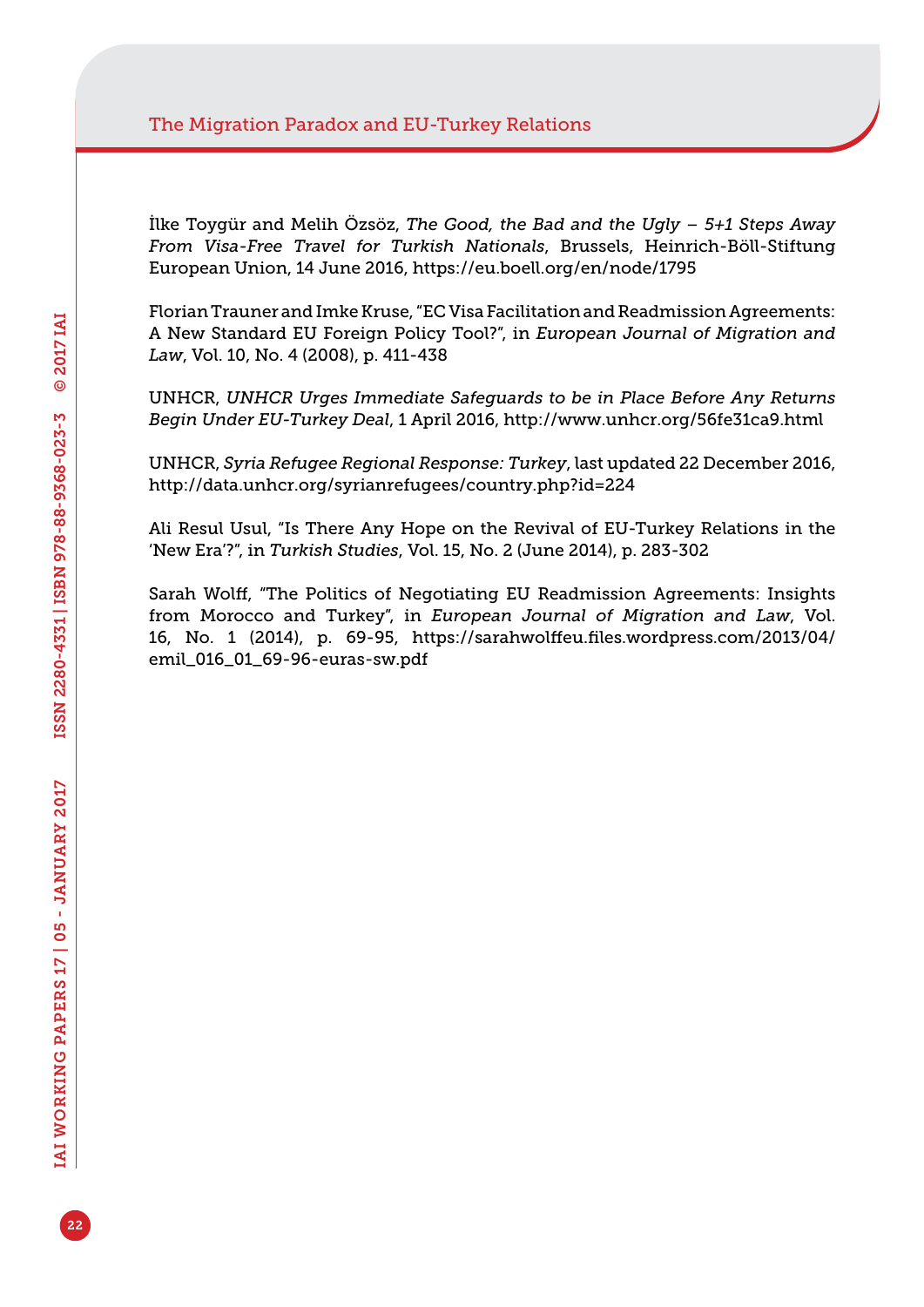İlke Toygür and Melih Özsöz, *The Good, the Bad and the Ugly – 5+1 Steps Away From Visa-Free Travel for Turkish Nationals*, Brussels, Heinrich-Böll-Stiftung European Union, 14 June 2016, <https://eu.boell.org/en/node/1795>

Florian Trauner and Imke Kruse, "EC Visa Facilitation and Readmission Agreements: A New Standard EU Foreign Policy Tool?", in *European Journal of Migration and Law*, Vol. 10, No. 4 (2008), p. 411-438

UNHCR, *UNHCR Urges Immediate Safeguards to be in Place Before Any Returns Begin Under EU-Turkey Deal*, 1 April 2016, <http://www.unhcr.org/56fe31ca9.html>

UNHCR, *Syria Refugee Regional Response: Turkey*, last updated 22 December 2016, <http://data.unhcr.org/syrianrefugees/country.php?id=224>

Ali Resul Usul, "Is There Any Hope on the Revival of EU-Turkey Relations in the 'New Era'?", in *Turkish Studies*, Vol. 15, No. 2 (June 2014), p. 283-302

Sarah Wolff, "The Politics of Negotiating EU Readmission Agreements: Insights from Morocco and Turkey", in *European Journal of Migration and Law*, Vol. 16, No. 1 (2014), p. 69-95, [https://sarahwolffeu.files.wordpress.com/2013/04/](https://sarahwolffeu.files.wordpress.com/2013/04/emil_016_01_69-96-euras-sw.pdf) [emil\\_016\\_01\\_69-96-euras-sw.pdf](https://sarahwolffeu.files.wordpress.com/2013/04/emil_016_01_69-96-euras-sw.pdf)

22